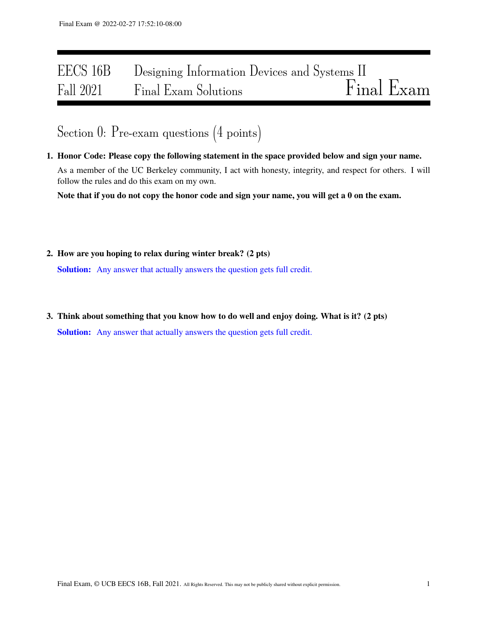# EECS 16B Designing Information Devices and Systems II<br>Fall 2021 Final Exam Solutions Final Exam Fall 2021 Final Exam Solutions

# Section 0: Pre-exam questions (4 points)

1. Honor Code: Please copy the following statement in the space provided below and sign your name. As a member of the UC Berkeley community, I act with honesty, integrity, and respect for others. I will follow the rules and do this exam on my own.

Note that if you do not copy the honor code and sign your name, you will get a 0 on the exam.

2. How are you hoping to relax during winter break? (2 pts)

Solution: Any answer that actually answers the question gets full credit.

3. Think about something that you know how to do well and enjoy doing. What is it? (2 pts) Solution: Any answer that actually answers the question gets full credit.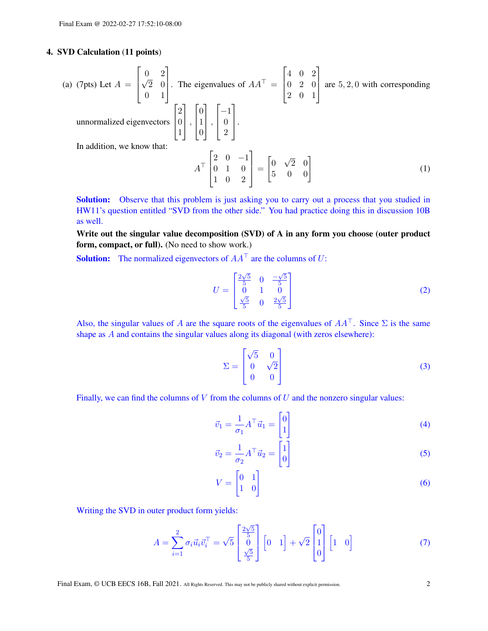# 4. SVD Calculation (11 points)

(a) (7pts) Let 
$$
A = \begin{bmatrix} 0 & 2 \ \sqrt{2} & 0 \ 0 & 1 \end{bmatrix}
$$
. The eigenvalues of  $AA^T = \begin{bmatrix} 4 & 0 & 2 \ 0 & 2 & 0 \ 2 & 0 & 1 \end{bmatrix}$  are 5, 2, 0 with corresponding  
unnormalized eigenvectors  $\begin{bmatrix} 2 \ 0 \ 1 \end{bmatrix}$ ,  $\begin{bmatrix} 0 \ 1 \ 0 \end{bmatrix}$ ,  $\begin{bmatrix} -1 \ 0 \ 2 \end{bmatrix}$ .  
In addition, we know that:  

$$
A^T \begin{bmatrix} 2 & 0 & -1 \ 0 & 1 & 0 \ 1 & 0 & 2 \end{bmatrix} = \begin{bmatrix} 0 & \sqrt{2} & 0 \ 5 & 0 & 0 \end{bmatrix}
$$
(1)

Solution: Observe that this problem is just asking you to carry out a process that you studied in HW11's question entitled "SVD from the other side." You had practice doing this in discussion 10B as well.

Write out the singular value decomposition (SVD) of A in any form you choose (outer product form, compact, or full). (No need to show work.)

**Solution:** The normalized eigenvectors of  $AA^T$  are the columns of U:

$$
U = \begin{bmatrix} \frac{2\sqrt{5}}{5} & 0 & \frac{-\sqrt{5}}{5} \\ 0 & 1 & 0 \\ \frac{\sqrt{5}}{5} & 0 & \frac{2\sqrt{5}}{5} \end{bmatrix}
$$
 (2)

Also, the singular values of A are the square roots of the eigenvalues of  $AA^{\top}$ . Since  $\Sigma$  is the same shape as A and contains the singular values along its diagonal (with zeros elsewhere):

$$
\Sigma = \begin{bmatrix} \sqrt{5} & 0 \\ 0 & \sqrt{2} \\ 0 & 0 \end{bmatrix}
$$
 (3)

Finally, we can find the columns of  $V$  from the columns of  $U$  and the nonzero singular values:

$$
\vec{v}_1 = \frac{1}{\sigma_1} A^\top \vec{u}_1 = \begin{bmatrix} 0 \\ 1 \end{bmatrix} \tag{4}
$$

$$
\vec{v}_2 = \frac{1}{\sigma_2} A^\top \vec{u}_2 = \begin{bmatrix} 1 \\ 0 \end{bmatrix} \tag{5}
$$

$$
V = \begin{bmatrix} 0 & 1 \\ 1 & 0 \end{bmatrix} \tag{6}
$$

Writing the SVD in outer product form yields:

$$
A = \sum_{i=1}^{2} \sigma_i \vec{u}_i \vec{v}_i^{\top} = \sqrt{5} \begin{bmatrix} \frac{2\sqrt{5}}{5} \\ 0 \\ \frac{\sqrt{5}}{5} \end{bmatrix} \begin{bmatrix} 0 & 1 \end{bmatrix} + \sqrt{2} \begin{bmatrix} 0 \\ 1 \\ 0 \end{bmatrix} \begin{bmatrix} 1 & 0 \end{bmatrix}
$$
(7)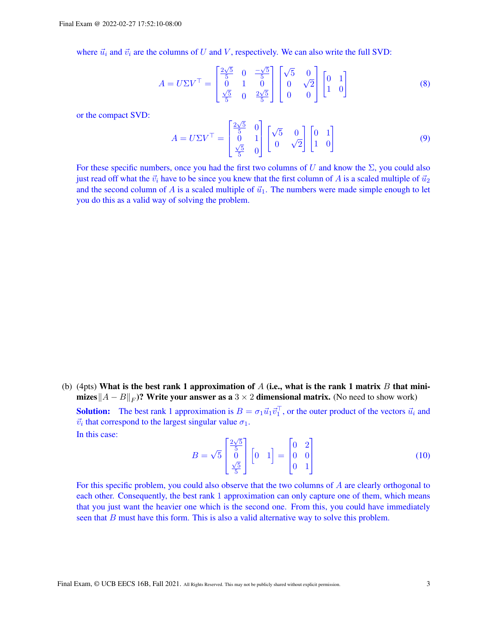where  $\vec{u}_i$  and  $\vec{v}_i$  are the columns of U and V, respectively. We can also write the full SVD:

$$
A = U\Sigma V^{\top} = \begin{bmatrix} \frac{2\sqrt{5}}{5} & 0 & \frac{-\sqrt{5}}{5} \\ 0 & 1 & 0 \\ \frac{\sqrt{5}}{5} & 0 & \frac{2\sqrt{5}}{5} \end{bmatrix} \begin{bmatrix} \sqrt{5} & 0 \\ 0 & \sqrt{2} \\ 0 & 0 \end{bmatrix} \begin{bmatrix} 0 & 1 \\ 1 & 0 \end{bmatrix}
$$
 (8)

or the compact SVD:

$$
A = U\Sigma V^{\top} = \begin{bmatrix} \frac{2\sqrt{5}}{5} & 0\\ 0 & 1\\ \frac{\sqrt{5}}{5} & 0 \end{bmatrix} \begin{bmatrix} \sqrt{5} & 0\\ 0 & \sqrt{2} \end{bmatrix} \begin{bmatrix} 0 & 1\\ 1 & 0 \end{bmatrix}
$$
(9)

For these specific numbers, once you had the first two columns of U and know the  $\Sigma$ , you could also just read off what the  $\vec{v}_i$  have to be since you knew that the first column of A is a scaled multiple of  $\vec{u}_2$ and the second column of A is a scaled multiple of  $\vec{u}_1$ . The numbers were made simple enough to let you do this as a valid way of solving the problem.

(b) (4pts) What is the best rank 1 approximation of A (i.e., what is the rank 1 matrix B that minimizes $||A - B||_F$ )? Write your answer as a  $3 \times 2$  dimensional matrix. (No need to show work) **Solution:** The best rank 1 approximation is  $B = \sigma_1 \vec{u}_1 \vec{v}_1^T$ , or the outer product of the vectors  $\vec{u}_i$  and  $\vec{v}_i$  that correspond to the largest singular value  $\sigma_1$ . In this case: √

$$
B = \sqrt{5} \begin{bmatrix} \frac{2\sqrt{5}}{5} \\ 0 \\ \frac{\sqrt{5}}{5} \end{bmatrix} \begin{bmatrix} 0 & 1 \end{bmatrix} = \begin{bmatrix} 0 & 2 \\ 0 & 0 \\ 0 & 1 \end{bmatrix}
$$
 (10)

For this specific problem, you could also observe that the two columns of A are clearly orthogonal to each other. Consequently, the best rank 1 approximation can only capture one of them, which means that you just want the heavier one which is the second one. From this, you could have immediately seen that  $B$  must have this form. This is also a valid alternative way to solve this problem.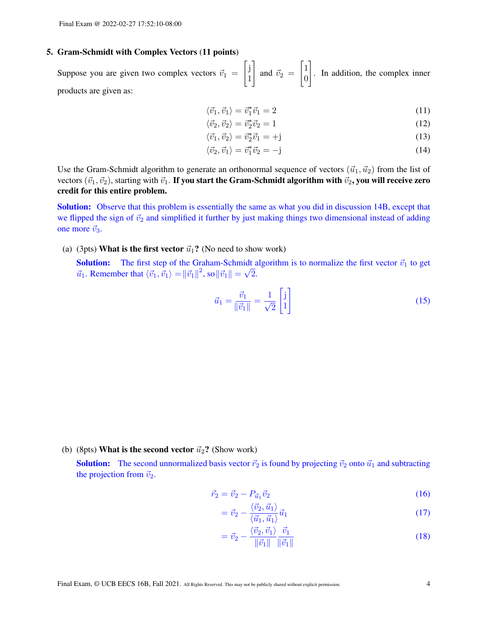#### 5. Gram-Schmidt with Complex Vectors (11 points)

Suppose you are given two complex vectors  $\vec{v}_1$  =  $\int$  j 1 1 and  $\vec{v}_2$  =  $\lceil 1 \rceil$ 0 1 . In addition, the complex inner products are given as:

$$
\langle \vec{v}_1, \vec{v}_1 \rangle = \vec{v}_1^* \vec{v}_1 = 2 \tag{11}
$$

$$
\langle \vec{v}_2, \vec{v}_2 \rangle = \vec{v}_2^* \vec{v}_2 = 1 \tag{12}
$$

$$
\langle \vec{v}_1, \vec{v}_2 \rangle = \vec{v}_2^* \vec{v}_1 = +\mathbf{j} \tag{13}
$$

$$
\langle \vec{v}_2, \vec{v}_1 \rangle = \vec{v}_1^* \vec{v}_2 = -\mathbf{j} \tag{14}
$$

Use the Gram-Schmidt algorithm to generate an orthonormal sequence of vectors  $(\vec{u}_1, \vec{u}_2)$  from the list of vectors  $(\vec{v}_1, \vec{v}_2)$ , starting with  $\vec{v}_1$ . If you start the Gram-Schmidt algorithm with  $\vec{v}_2$ , you will receive zero credit for this entire problem.

Solution: Observe that this problem is essentially the same as what you did in discussion 14B, except that we flipped the sign of  $\vec{v}_2$  and simplified it further by just making things two dimensional instead of adding one more  $\vec{v}_3$ .

(a) (3pts) What is the first vector  $\vec{u}_1$ ? (No need to show work)

**Solution:** The first step of the Graham-Schmidt algorithm is to normalize the first vector  $\vec{v}_1$  to get  $\vec{u}_1$ . Remember that  $\langle \vec{v}_1, \vec{v}_1 \rangle = ||\vec{v}_1||^2$ , so  $||\vec{v}_1|| = \sqrt{2}$ .

$$
\vec{u}_1 = \frac{\vec{v}_1}{\|\vec{v}_1\|} = \frac{1}{\sqrt{2}} \begin{bmatrix} j \\ 1 \end{bmatrix}
$$
 (15)

(b) (8pts) What is the second vector  $\vec{u}_2$ ? (Show work)

**Solution:** The second unnormalized basis vector  $\vec{r}_2$  is found by projecting  $\vec{v}_2$  onto  $\vec{u}_1$  and subtracting the projection from  $\vec{v}_2$ .

$$
\vec{r}_2 = \vec{v}_2 - P_{\vec{u}_1} \vec{v}_2 \tag{16}
$$

$$
=\vec{v}_2 - \frac{\langle \vec{v}_2, \vec{u}_1 \rangle}{\langle \vec{u}_1, \vec{u}_1 \rangle} \vec{u}_1 \tag{17}
$$

$$
= \vec{v}_2 - \frac{\langle \vec{v}_2, \vec{v}_1 \rangle}{\|\vec{v}_1\|} \frac{\vec{v}_1}{\|\vec{v}_1\|} \tag{18}
$$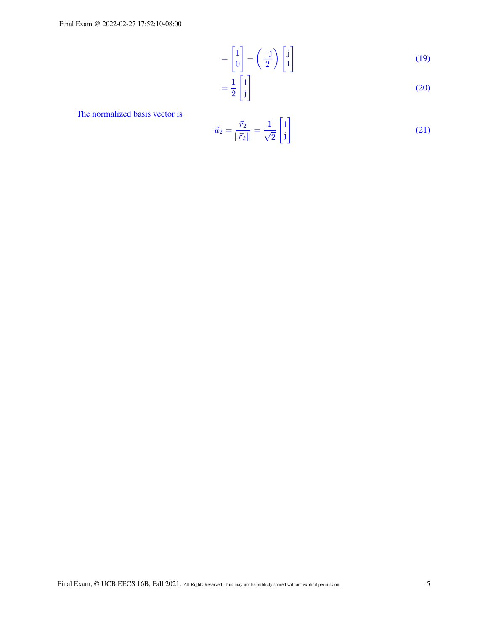Final Exam @ 2022-02-27 17:52:10-08:00

$$
= \begin{bmatrix} 1 \\ 0 \end{bmatrix} - \left(\frac{-j}{2}\right) \begin{bmatrix} j \\ 1 \end{bmatrix} \tag{19}
$$

$$
=\frac{1}{2}\begin{bmatrix}1\\j\end{bmatrix}
$$
\n(20)

The normalized basis vector is

$$
\vec{u}_2 = \frac{\vec{r}_2}{\|\vec{r}_2\|} = \frac{1}{\sqrt{2}} \begin{bmatrix} 1 \\ j \end{bmatrix}
$$
 (21)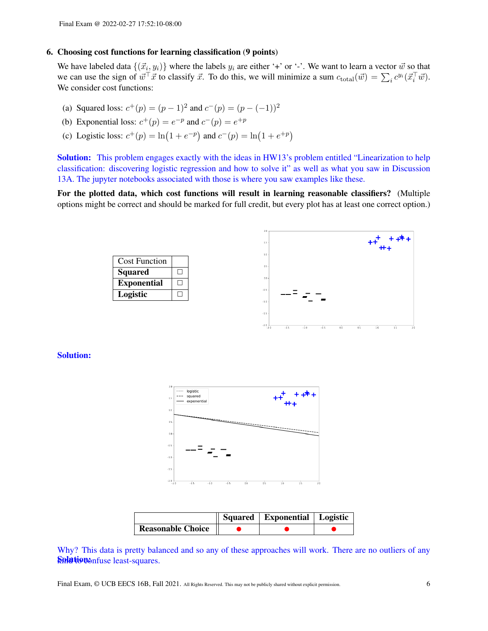#### 6. Choosing cost functions for learning classification (9 points)

We have labeled data  $\{(\vec{x}_i, y_i)\}$  where the labels  $y_i$  are either '+' or '-'. We want to learn a vector  $\vec{w}$  so that we can use the sign of  $\vec{w}^\top \vec{x}$  to classify  $\vec{x}$ . To do this, we will minimize a sum  $c_{\text{total}}(\vec{w}) = \sum_i c^{y_i}(\vec{x}_i^\top \vec{w})$ . We consider cost functions:

- (a) Squared loss:  $c^+(p) = (p-1)^2$  and  $c^-(p) = (p-(-1))^2$
- (b) Exponential loss:  $c^+(p) = e^{-p}$  and  $c^-(p) = e^{+p}$
- (c) Logistic loss:  $c^+(p) = \ln(1 + e^{-p})$  and  $c^-(p) = \ln(1 + e^{+p})$

Solution: This problem engages exactly with the ideas in HW13's problem entitled "Linearization to help classification: discovering logistic regression and how to solve it" as well as what you saw in Discussion 13A. The jupyter notebooks associated with those is where you saw examples like these.

For the plotted data, which cost functions will result in learning reasonable classifiers? (Multiple options might be correct and should be marked for full credit, but every plot has at least one correct option.)





Solution:



|                          | Squared   Exponential   Logistic |  |
|--------------------------|----------------------------------|--|
| <b>Reasonable Choice</b> |                                  |  |

Why? This data is pretty balanced and so any of these approaches will work. There are no outliers of any Solution of the cast-squares.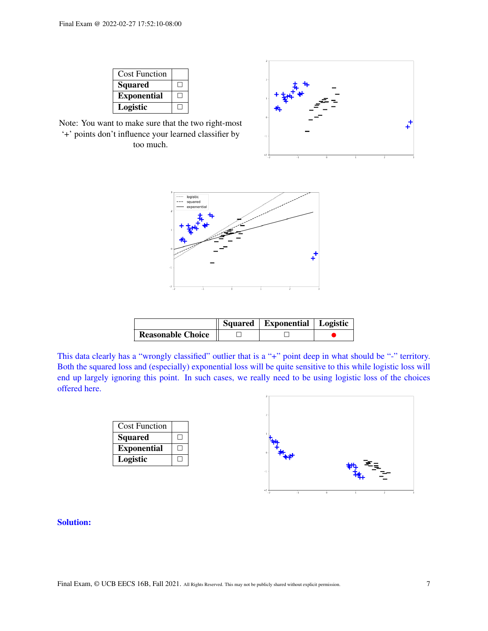| <b>Cost Function</b> |  |
|----------------------|--|
| <b>Squared</b>       |  |
| <b>Exponential</b>   |  |
| Logistic             |  |

Note: You want to make sure that the two right-most '+' points don't influence your learned classifier by too much.



|                          | Squared   Exponential   Logistic |  |
|--------------------------|----------------------------------|--|
| <b>Reasonable Choice</b> |                                  |  |

This data clearly has a "wrongly classified" outlier that is a "+" point deep in what should be "-" territory. Both the squared loss and (especially) exponential loss will be quite sensitive to this while logistic loss will end up largely ignoring this point. In such cases, we really need to be using logistic loss of the choices offered here.

| <b>Cost Function</b> |  |
|----------------------|--|
| <b>Squared</b>       |  |
| <b>Exponential</b>   |  |
| Logistic             |  |



# Solution: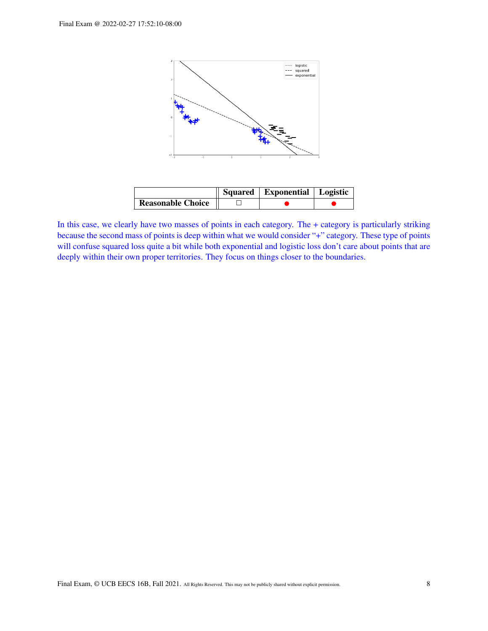

|                          | Squared   Exponential   Logistic |  |
|--------------------------|----------------------------------|--|
| <b>Reasonable Choice</b> |                                  |  |

In this case, we clearly have two masses of points in each category. The + category is particularly striking because the second mass of points is deep within what we would consider "+" category. These type of points will confuse squared loss quite a bit while both exponential and logistic loss don't care about points that are deeply within their own proper territories. They focus on things closer to the boundaries.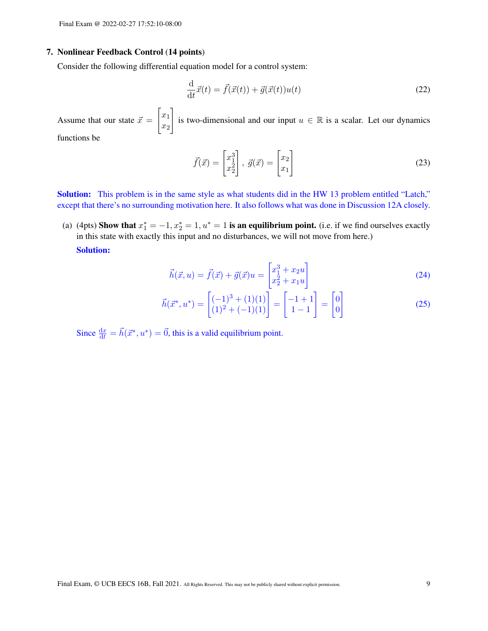#### 7. Nonlinear Feedback Control (14 points)

Consider the following differential equation model for a control system:

$$
\frac{\mathrm{d}}{\mathrm{d}t}\vec{x}(t) = \vec{f}(\vec{x}(t)) + \vec{g}(\vec{x}(t))u(t)
$$
\n(22)

Assume that our state  $\vec{x} =$  $\lceil x_1 \rceil$  $\overline{x_2}$ 1 is two-dimensional and our input  $u \in \mathbb{R}$  is a scalar. Let our dynamics functions be

$$
\vec{f}(\vec{x}) = \begin{bmatrix} x_1^3 \\ x_2^2 \end{bmatrix}, \ \vec{g}(\vec{x}) = \begin{bmatrix} x_2 \\ x_1 \end{bmatrix}
$$
 (23)

Solution: This problem is in the same style as what students did in the HW 13 problem entitled "Latch," except that there's no surrounding motivation here. It also follows what was done in Discussion 12A closely.

(a) (4pts) Show that  $x_1^* = -1, x_2^* = 1, u^* = 1$  is an equilibrium point. (i.e. if we find ourselves exactly in this state with exactly this input and no disturbances, we will not move from here.) Solution:

$$
\vec{h}(\vec{x},u) = \vec{f}(\vec{x}) + \vec{g}(\vec{x})u = \begin{bmatrix} x_1^3 + x_2u \\ x_2^2 + x_1u \end{bmatrix}
$$
 (24)

$$
\vec{h}(\vec{x}^*, u^*) = \begin{bmatrix} (-1)^3 + (1)(1) \\ (1)^2 + (-1)(1) \end{bmatrix} = \begin{bmatrix} -1 + 1 \\ 1 - 1 \end{bmatrix} = \begin{bmatrix} 0 \\ 0 \end{bmatrix}
$$
 (25)

Since  $\frac{dx}{dt} = \vec{h}(\vec{x}^*, u^*) = \vec{0}$ , this is a valid equilibrium point.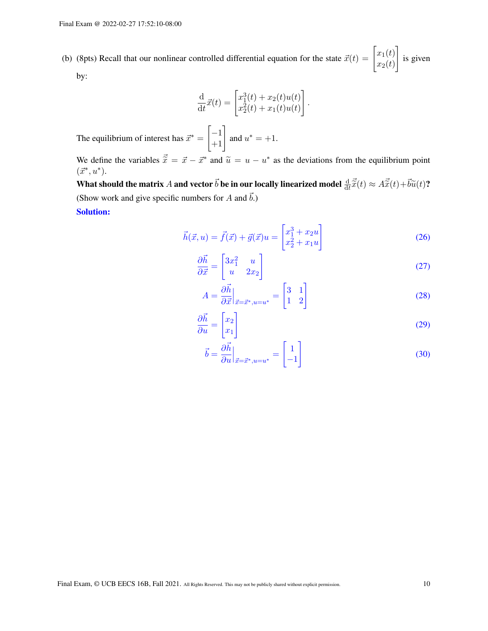(b) (8pts) Recall that our nonlinear controlled differential equation for the state  $\vec{x}(t) = \begin{bmatrix} x_1(t) \\ x_2(t) \end{bmatrix}$  $x_2(t)$ 1 is given by:

$$
\frac{\mathrm{d}}{\mathrm{d}t}\vec{x}(t) = \begin{bmatrix} x_1^3(t) + x_2(t)u(t) \\ x_2^2(t) + x_1(t)u(t) \end{bmatrix}
$$

The equilibrium of interest has  $\vec{x}^*$  =  $\begin{bmatrix} -1 \\ +1 \end{bmatrix}$  and  $u^* = +1$ .

We define the variables  $\vec{\tilde{x}} = \vec{x} - \vec{x}^*$  and  $\tilde{u} = u - u^*$  as the deviations from the equilibrium point  $(\vec{x}^*, u^*)$  $(\vec{x}^*, u^*).$ 

What should the matrix A and vector  $\vec{b}$  be in our locally linearized model  $\frac{d}{dt}\vec{\tilde{x}}(t) \approx A\vec{\tilde{x}}(t) + \vec{b}\tilde{u}(t)$ ? (Show work and give specific numbers for A and  $\vec{b}$ .)

Solution:

$$
\vec{h}(\vec{x}, u) = \vec{f}(\vec{x}) + \vec{g}(\vec{x})u = \begin{bmatrix} x_1^3 + x_2u \\ x_2^2 + x_1u \end{bmatrix}
$$
 (26)

.

$$
\frac{\partial \vec{h}}{\partial \vec{x}} = \begin{bmatrix} 3x_1^2 & u \\ u & 2x_2 \end{bmatrix}
$$
 (27)

$$
A = \frac{\partial \vec{h}}{\partial \vec{x}}\Big|_{\vec{x} = \vec{x}^*, u = u^*} = \begin{bmatrix} 3 & 1 \\ 1 & 2 \end{bmatrix}
$$
 (28)

$$
\frac{\partial \vec{h}}{\partial u} = \begin{bmatrix} x_2 \\ x_1 \end{bmatrix} \tag{29}
$$

$$
\vec{b} = \frac{\partial \vec{h}}{\partial u}\Big|_{\vec{x} = \vec{x}^*, u = u^*} = \begin{bmatrix} 1 \\ -1 \end{bmatrix}
$$
 (30)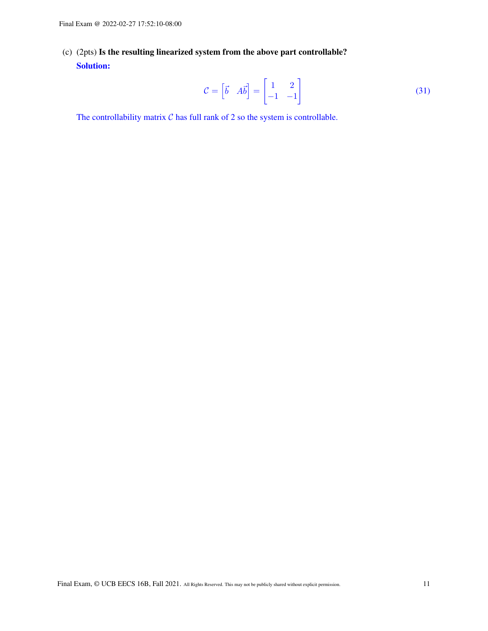(c) (2pts) Is the resulting linearized system from the above part controllable? Solution:

$$
\mathcal{C} = \begin{bmatrix} \vec{b} & A\vec{b} \end{bmatrix} = \begin{bmatrix} 1 & 2 \\ -1 & -1 \end{bmatrix}
$$
 (31)

The controllability matrix  $C$  has full rank of 2 so the system is controllable.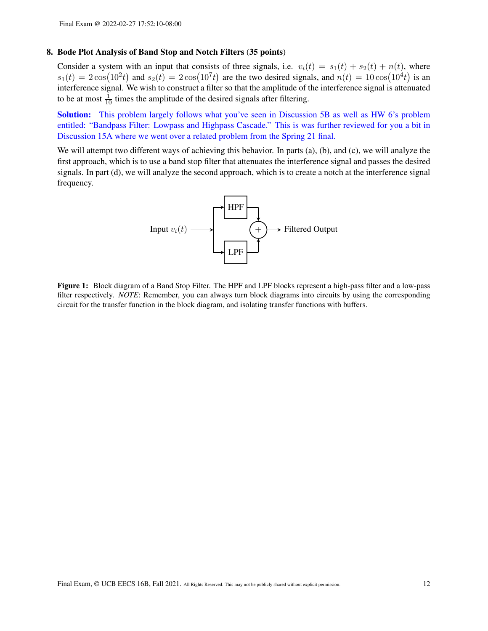### 8. Bode Plot Analysis of Band Stop and Notch Filters (35 points)

Consider a system with an input that consists of three signals, i.e.  $v_i(t) = s_1(t) + s_2(t) + n(t)$ , where  $s_1(t) = 2\cos(10^2t)$  and  $s_2(t) = 2\cos(10^7t)$  are the two desired signals, and  $n(t) = 10\cos(10^4t)$  is an interference signal. We wish to construct a filter so that the amplitude of the interference signal is attenuated to be at most  $\frac{1}{10}$  times the amplitude of the desired signals after filtering.

Solution: This problem largely follows what you've seen in Discussion 5B as well as HW 6's problem entitled: "Bandpass Filter: Lowpass and Highpass Cascade." This is was further reviewed for you a bit in Discussion 15A where we went over a related problem from the Spring 21 final.

<span id="page-11-0"></span>We will attempt two different ways of achieving this behavior. In parts (a), (b), and (c), we will analyze the first approach, which is to use a band stop filter that attenuates the interference signal and passes the desired signals. In part (d), we will analyze the second approach, which is to create a notch at the interference signal frequency.



Figure 1: Block diagram of a Band Stop Filter. The HPF and LPF blocks represent a high-pass filter and a low-pass filter respectively. *NOTE*: Remember, you can always turn block diagrams into circuits by using the corresponding circuit for the transfer function in the block diagram, and isolating transfer functions with buffers.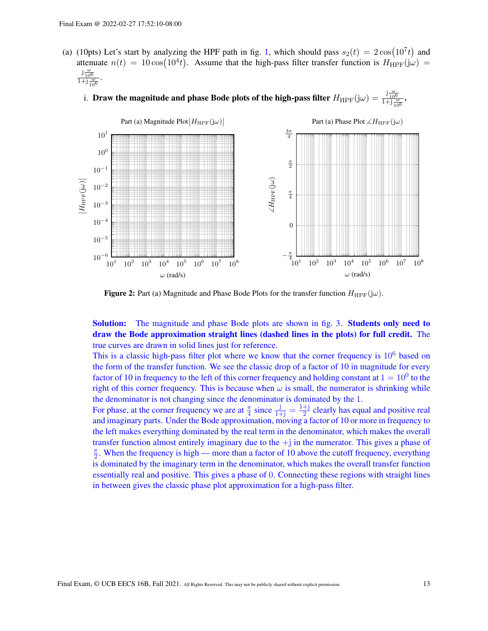- (a) (10pts) Let's start by analyzing the HPF path in fig. [1,](#page-11-0) which should pass  $s_2(t) = 2\cos(10^7t)$  and attenuate  $n(t) = 10\cos(10^4t)$ . Assume that the high-pass filter transfer function is  $H_{\text{HPF}}(j\omega)$  =  $rac{j\frac{\omega}{10^6}}{1+j\frac{\omega}{10^6}}$ .
	- i. Draw the magnitude and phase Bode plots of the high-pass filter  $H_{\text{HPF}}(j\omega) = \frac{j\frac{\omega}{10^6}}{1+j\frac{\omega}{10^6}}$ .



Figure 2: Part (a) Magnitude and Phase Bode Plots for the transfer function  $H_{\text{HPF}}(j\omega)$ .

Solution: The magnitude and phase Bode plots are shown in fig. [3.](#page-13-0) Students only need to draw the Bode approximation straight lines (dashed lines in the plots) for full credit. The true curves are drawn in solid lines just for reference.

This is a classic high-pass filter plot where we know that the corner frequency is  $10^6$  based on the form of the transfer function. We see the classic drop of a factor of 10 in magnitude for every factor of 10 in frequency to the left of this corner frequency and holding constant at  $1 = 10^0$  to the right of this corner frequency. This is because when  $\omega$  is small, the numerator is shrinking while the denominator is not changing since the denominator is dominated by the 1.

For phase, at the corner frequency we are at  $\frac{\pi}{4}$  since  $\frac{j}{1+j} = \frac{1+j}{2}$  $\frac{+1}{2}$  clearly has equal and positive real and imaginary parts. Under the Bode approximation, moving a factor of 10 or more in frequency to the left makes everything dominated by the real term in the denominator, which makes the overall transfer function almost entirely imaginary due to the  $+j$  in the numerator. This gives a phase of  $\frac{\pi}{2}$  $\frac{\pi}{2}$ . When the frequency is high — more than a factor of 10 above the cutoff frequency, everything is dominated by the imaginary term in the denominator, which makes the overall transfer function essentially real and positive. This gives a phase of 0. Connecting these regions with straight lines in between gives the classic phase plot approximation for a high-pass filter.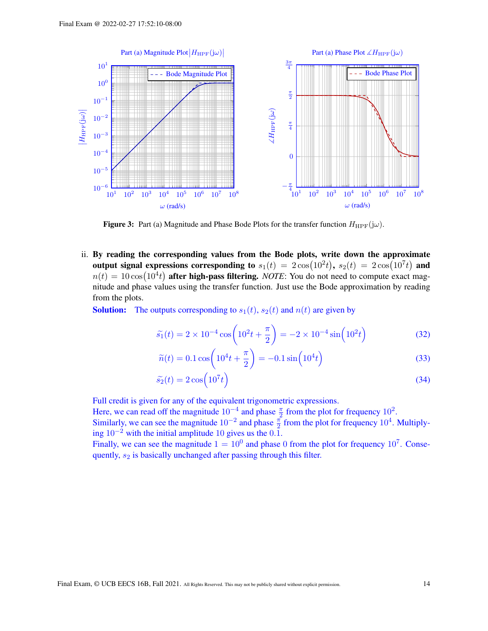<span id="page-13-0"></span>

**Figure 3:** Part (a) Magnitude and Phase Bode Plots for the transfer function  $H_{\text{HPF}}(j\omega)$ .

ii. By reading the corresponding values from the Bode plots, write down the approximate output signal expressions corresponding to  $s_1(t) = 2\cos(10^2 t), s_2(t) = 2\cos(10^7 t)$  and  $n(t) = 10 \cos(10^4 t)$  after high-pass filtering. *NOTE*: You do not need to compute exact magnitude and phase values using the transfer function. Just use the Bode approximation by reading from the plots.

**Solution:** The outputs corresponding to  $s_1(t)$ ,  $s_2(t)$  and  $n(t)$  are given by

$$
\widetilde{s}_1(t) = 2 \times 10^{-4} \cos \left( 10^2 t + \frac{\pi}{2} \right) = -2 \times 10^{-4} \sin \left( 10^2 t \right) \tag{32}
$$

$$
\widetilde{n}(t) = 0.1 \cos \left( 10^4 t + \frac{\pi}{2} \right) = -0.1 \sin \left( 10^4 t \right) \tag{33}
$$

$$
\tilde{s}_2(t) = 2\cos\left(10^7 t\right) \tag{34}
$$

Full credit is given for any of the equivalent trigonometric expressions.

Here, we can read off the magnitude  $10^{-4}$  and phase  $\frac{\pi}{2}$  from the plot for frequency  $10^2$ .

Similarly, we can see the magnitude  $10^{-2}$  and phase  $\frac{\pi}{2}$  from the plot for frequency  $10^4$ . Multiplying  $10^{-2}$  with the initial amplitude 10 gives us the 0.1.

Finally, we can see the magnitude  $1 = 10^0$  and phase 0 from the plot for frequency  $10^7$ . Consequently,  $s_2$  is basically unchanged after passing through this filter.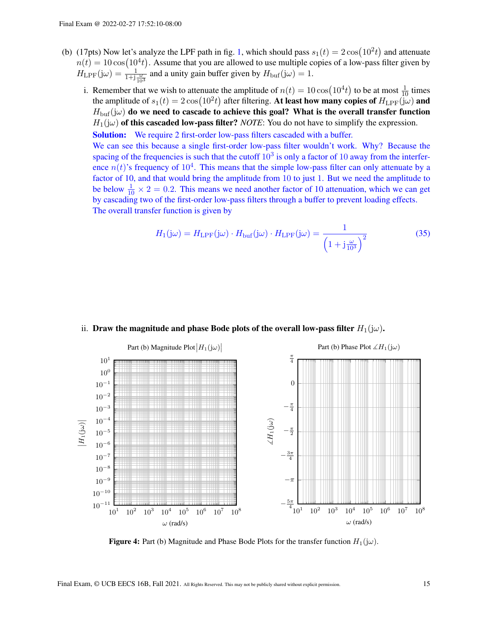- (b) (17pts) Now let's analyze the LPF path in fig. [1,](#page-11-0) which should pass  $s_1(t) = 2\cos(10^2 t)$  and attenuate  $n(t) = 10 \cos(10^4 t)$ . Assume that you are allowed to use multiple copies of a low-pass filter given by  $H_{\text{LPF}}(j\omega) = \frac{1}{1+j\frac{\omega}{10^3}}$  and a unity gain buffer given by  $H_{\text{buf}}(j\omega) = 1$ .
	- i. Remember that we wish to attenuate the amplitude of  $n(t) = 10 \cos(10^4 t)$  to be at most  $\frac{1}{10}$  times the amplitude of  $s_1(t) = 2\cos(10^2t)$  after filtering. At least how many copies of  $H_{\text{LPF}}(j\omega)$  and  $H_{\text{buf}}(j\omega)$  do we need to cascade to achieve this goal? What is the overall transfer function  $H_1(i\omega)$  of this cascaded low-pass filter? *NOTE*: You do not have to simplify the expression.

Solution: We require 2 first-order low-pass filters cascaded with a buffer.

We can see this because a single first-order low-pass filter wouldn't work. Why? Because the spacing of the frequencies is such that the cutoff  $10<sup>3</sup>$  is only a factor of 10 away from the interference  $n(t)$ 's frequency of  $10<sup>4</sup>$ . This means that the simple low-pass filter can only attenuate by a factor of 10, and that would bring the amplitude from 10 to just 1. But we need the amplitude to be below  $\frac{1}{10} \times 2 = 0.2$ . This means we need another factor of 10 attenuation, which we can get by cascading two of the first-order low-pass filters through a buffer to prevent loading effects. The overall transfer function is given by

$$
H_1(j\omega) = H_{\text{LPF}}(j\omega) \cdot H_{\text{buf}}(j\omega) \cdot H_{\text{LPF}}(j\omega) = \frac{1}{\left(1 + j\frac{\omega}{10^3}\right)^2} \tag{35}
$$



#### ii. Draw the magnitude and phase Bode plots of the overall low-pass filter  $H_1(j\omega)$ .

**Figure 4:** Part (b) Magnitude and Phase Bode Plots for the transfer function  $H_1(j\omega)$ .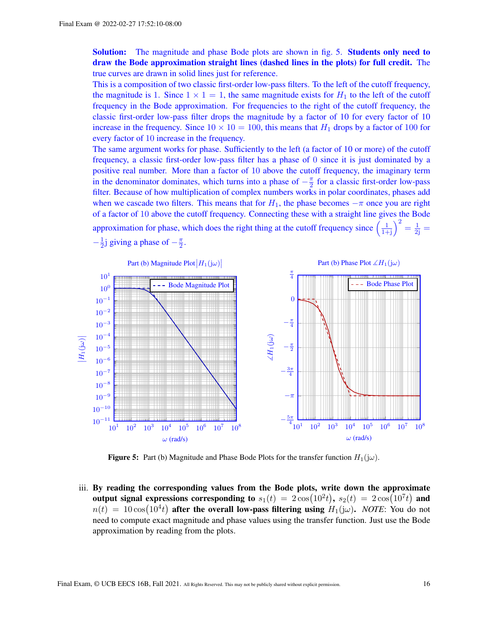Solution: The magnitude and phase Bode plots are shown in fig. [5.](#page-15-0) Students only need to draw the Bode approximation straight lines (dashed lines in the plots) for full credit. The true curves are drawn in solid lines just for reference.

This is a composition of two classic first-order low-pass filters. To the left of the cutoff frequency, the magnitude is 1. Since  $1 \times 1 = 1$ , the same magnitude exists for  $H_1$  to the left of the cutoff frequency in the Bode approximation. For frequencies to the right of the cutoff frequency, the classic first-order low-pass filter drops the magnitude by a factor of 10 for every factor of 10 increase in the frequency. Since  $10 \times 10 = 100$ , this means that  $H_1$  drops by a factor of 100 for every factor of 10 increase in the frequency.

The same argument works for phase. Sufficiently to the left (a factor of 10 or more) of the cutoff frequency, a classic first-order low-pass filter has a phase of 0 since it is just dominated by a positive real number. More than a factor of 10 above the cutoff frequency, the imaginary term in the denominator dominates, which turns into a phase of  $-\frac{\pi}{2}$  $\frac{\pi}{2}$  for a classic first-order low-pass filter. Because of how multiplication of complex numbers works in polar coordinates, phases add when we cascade two filters. This means that for  $H_1$ , the phase becomes  $-\pi$  once you are right of a factor of 10 above the cutoff frequency. Connecting these with a straight line gives the Bode approximation for phase, which does the right thing at the cutoff frequency since  $\left(\frac{1}{1+j}\right)^2 = \frac{1}{2j}$  $-\frac{1}{2}$  $\frac{1}{2}$ j giving a phase of  $-\frac{\pi}{2}$  $\frac{\pi}{2}$ .

<span id="page-15-0"></span>

**Figure 5:** Part (b) Magnitude and Phase Bode Plots for the transfer function  $H_1(j\omega)$ .

iii. By reading the corresponding values from the Bode plots, write down the approximate output signal expressions corresponding to  $s_1(t) = 2\cos(10^2t)$ ,  $s_2(t) = 2\cos(10^7t)$  and  $n(t) = 10 \cos(10^4 t)$  after the overall low-pass filtering using  $H_1(j\omega)$ . *NOTE*: You do not need to compute exact magnitude and phase values using the transfer function. Just use the Bode approximation by reading from the plots.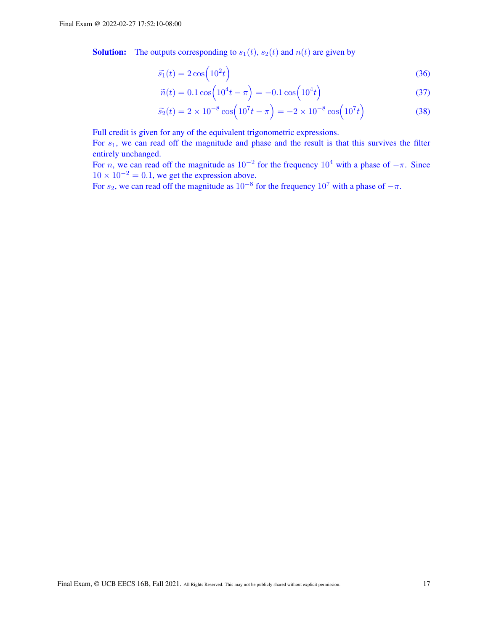**Solution:** The outputs corresponding to  $s_1(t)$ ,  $s_2(t)$  and  $n(t)$  are given by

$$
\widetilde{s_1}(t) = 2\cos\left(10^2 t\right) \tag{36}
$$

$$
\widetilde{n}(t) = 0.1 \cos\left(10^4 t - \pi\right) = -0.1 \cos\left(10^4 t\right)
$$
\n(37)

$$
\widetilde{s}_2(t) = 2 \times 10^{-8} \cos\left(10^7 t - \pi\right) = -2 \times 10^{-8} \cos\left(10^7 t\right) \tag{38}
$$

Full credit is given for any of the equivalent trigonometric expressions.

For  $s_1$ , we can read off the magnitude and phase and the result is that this survives the filter entirely unchanged.

For *n*, we can read off the magnitude as  $10^{-2}$  for the frequency  $10^4$  with a phase of  $-\pi$ . Since  $10 \times 10^{-2} = 0.1$ , we get the expression above.

For  $s_2$ , we can read off the magnitude as  $10^{-8}$  for the frequency  $10^7$  with a phase of  $-\pi$ .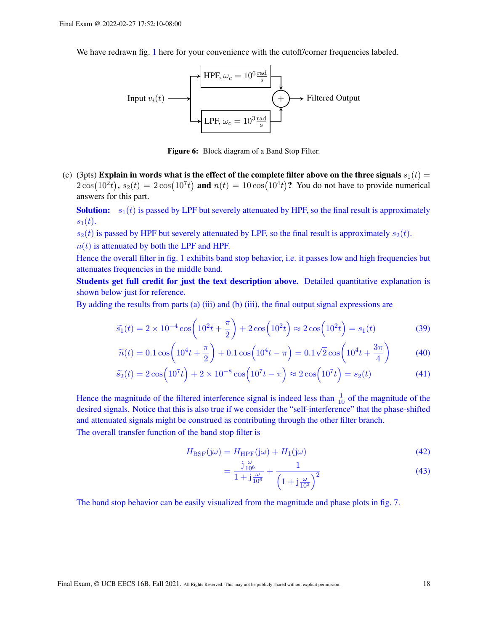We have redrawn fig. [1](#page-11-0) here for your convenience with the cutoff/corner frequencies labeled.



Figure 6: Block diagram of a Band Stop Filter.

(c) (3pts) Explain in words what is the effect of the complete filter above on the three signals  $s_1(t)$  =  $2\cos(10^2t)$ ,  $s_2(t) = 2\cos(10^7t)$  and  $n(t) = 10\cos(10^4t)$ ? You do not have to provide numerical answers for this part.

**Solution:**  $s_1(t)$  is passed by LPF but severely attenuated by HPF, so the final result is approximately  $s_1(t)$ .

 $s_2(t)$  is passed by HPF but severely attenuated by LPF, so the final result is approximately  $s_2(t)$ .

 $n(t)$  is attenuated by both the LPF and HPF.

Hence the overall filter in fig. [1](#page-11-0) exhibits band stop behavior, i.e. it passes low and high frequencies but attenuates frequencies in the middle band.

Students get full credit for just the text description above. Detailed quantitative explanation is shown below just for reference.

By adding the results from parts (a) (iii) and (b) (iii), the final output signal expressions are

$$
\widetilde{s_1}(t) = 2 \times 10^{-4} \cos\left(10^2 t + \frac{\pi}{2}\right) + 2\cos\left(10^2 t\right) \approx 2\cos\left(10^2 t\right) = s_1(t) \tag{39}
$$

$$
\widetilde{n}(t) = 0.1 \cos \left( 10^4 t + \frac{\pi}{2} \right) + 0.1 \cos \left( 10^4 t - \pi \right) = 0.1 \sqrt{2} \cos \left( 10^4 t + \frac{3\pi}{4} \right) \tag{40}
$$

$$
\widetilde{s}_2(t) = 2\cos\left(10^7t\right) + 2 \times 10^{-8} \cos\left(10^7t - \pi\right) \approx 2\cos\left(10^7t\right) = s_2(t) \tag{41}
$$

Hence the magnitude of the filtered interference signal is indeed less than  $\frac{1}{10}$  of the magnitude of the desired signals. Notice that this is also true if we consider the "self-interference" that the phase-shifted and attenuated signals might be construed as contributing through the other filter branch.

The overall transfer function of the band stop filter is

$$
H_{\text{BSF}}(j\omega) = H_{\text{HPF}}(j\omega) + H_1(j\omega)
$$
\n(42)

$$
=\frac{j\frac{\omega}{10^6}}{1+j\frac{\omega}{10^6}}+\frac{1}{\left(1+j\frac{\omega}{10^3}\right)^2}
$$
(43)

The band stop behavior can be easily visualized from the magnitude and phase plots in fig. [7.](#page-18-0)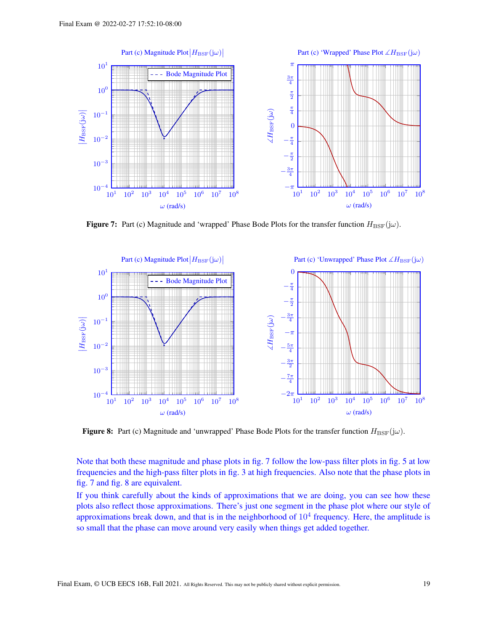<span id="page-18-0"></span>

**Figure 7:** Part (c) Magnitude and 'wrapped' Phase Bode Plots for the transfer function  $H_{\text{BSF}}(j\omega)$ .

<span id="page-18-1"></span>

**Figure 8:** Part (c) Magnitude and 'unwrapped' Phase Bode Plots for the transfer function  $H_{\text{BSF}}(j\omega)$ .

Note that both these magnitude and phase plots in fig. [7](#page-18-0) follow the low-pass filter plots in fig. [5](#page-15-0) at low frequencies and the high-pass filter plots in fig. [3](#page-13-0) at high frequencies. Also note that the phase plots in fig. [7](#page-18-0) and fig. [8](#page-18-1) are equivalent.

If you think carefully about the kinds of approximations that we are doing, you can see how these plots also reflect those approximations. There's just one segment in the phase plot where our style of approximations break down, and that is in the neighborhood of  $10<sup>4</sup>$  frequency. Here, the amplitude is so small that the phase can move around very easily when things get added together.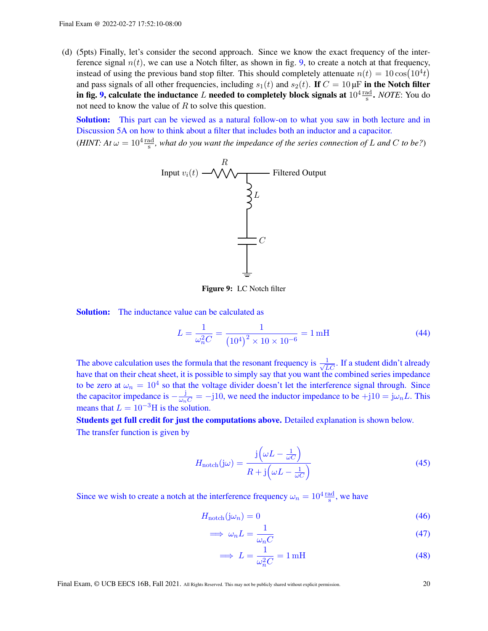(d) (5pts) Finally, let's consider the second approach. Since we know the exact frequency of the interference signal  $n(t)$ , we can use a Notch filter, as shown in fig. [9,](#page-19-0) to create a notch at that frequency, instead of using the previous band stop filter. This should completely attenuate  $n(t) = 10 \cos(10^4 t)$ and pass signals of all other frequencies, including  $s_1(t)$  and  $s_2(t)$ . If  $C = 10 \mu F$  in the Notch filter in fig. [9,](#page-19-0) calculate the inductance  $L$  needed to completely block signals at  $10^4 \frac{\text{rad}}{\text{s}}$ . *NOTE*: You do not need to know the value of  $R$  to solve this question.

**Solution:** This part can be viewed as a natural follow-on to what you saw in both lecture and in Discussion 5A on how to think about a filter that includes both an inductor and a capacitor.

<span id="page-19-0"></span>(*HINT*: At  $\omega = 10^4 \frac{\text{rad}}{\text{s}}$ , what do you want the impedance of the series connection of L and C to be?)



Figure 9: LC Notch filter

**Solution:** The inductance value can be calculated as

$$
L = \frac{1}{\omega_n^2 C} = \frac{1}{\left(10^4\right)^2 \times 10 \times 10^{-6}} = 1 \,\text{mH}
$$
\n(44)

The above calculation uses the formula that the resonant frequency is  $\frac{1}{\sqrt{LC}}$ . If a student didn't already have that on their cheat sheet, it is possible to simply say that you want the combined series impedance to be zero at  $\omega_n = 10^4$  so that the voltage divider doesn't let the interference signal through. Since the capacitor impedance is  $-\frac{j}{\omega_n C} = -j10$ , we need the inductor impedance to be  $+j10 = j\omega_n L$ . This means that  $L = 10^{-3}$ H is the solution.

Students get full credit for just the computations above. Detailed explanation is shown below. The transfer function is given by

$$
H_{\text{notch}}(j\omega) = \frac{j\left(\omega L - \frac{1}{\omega C}\right)}{R + j\left(\omega L - \frac{1}{\omega C}\right)}
$$
(45)

Since we wish to create a notch at the interference frequency  $\omega_n = 10^4 \frac{\text{rad}}{\text{s}}$ , we have

$$
H_{\text{notch}}(j\omega_n) = 0\tag{46}
$$

$$
\implies \omega_n L = \frac{1}{\omega_n C} \tag{47}
$$

$$
\implies L = \frac{1}{\omega_n^2 C} = 1 \,\text{mH}
$$
\n<sup>(48)</sup>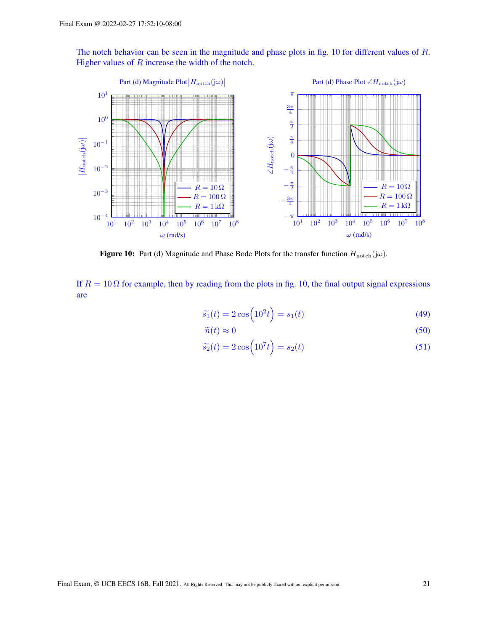The notch behavior can be seen in the magnitude and phase plots in fig. [10](#page-20-0) for different values of R. Higher values of  $R$  increase the width of the notch.

<span id="page-20-0"></span>

Figure 10: Part (d) Magnitude and Phase Bode Plots for the transfer function  $H_{\text{notch}}(j\omega)$ .

If  $R = 10 \Omega$  for example, then by reading from the plots in fig. [10,](#page-20-0) the final output signal expressions are

$$
\widetilde{s}_1(t) = 2\cos\left(10^2 t\right) = s_1(t) \tag{49}
$$

$$
\widetilde{n}(t) \approx 0\tag{50}
$$

$$
\widetilde{s}_2(t) = 2\cos\left(10^7 t\right) = s_2(t) \tag{51}
$$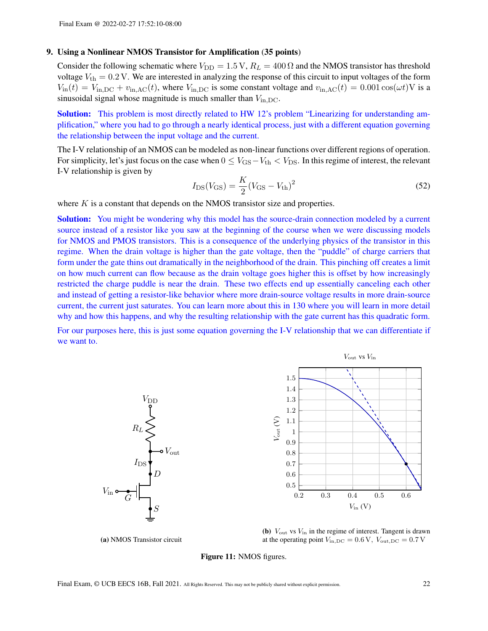#### 9. Using a Nonlinear NMOS Transistor for Amplification (35 points)

Consider the following schematic where  $V_{\text{DD}} = 1.5 \text{ V}$ ,  $R_L = 400 \Omega$  and the NMOS transistor has threshold voltage  $V_{\text{th}} = 0.2$  V. We are interested in analyzing the response of this circuit to input voltages of the form  $V_{\text{in}}(t) = V_{\text{in,DC}} + v_{\text{in,AC}}(t)$ , where  $V_{\text{in,DC}}$  is some constant voltage and  $v_{\text{in,AC}}(t) = 0.001 \cos(\omega t)$  V is a sinusoidal signal whose magnitude is much smaller than  $V_{\text{in,DC}}$ .

Solution: This problem is most directly related to HW 12's problem "Linearizing for understanding amplification," where you had to go through a nearly identical process, just with a different equation governing the relationship between the input voltage and the current.

The I-V relationship of an NMOS can be modeled as non-linear functions over different regions of operation. For simplicity, let's just focus on the case when  $0 \leq V_{\rm GS} - V_{\rm th} < V_{\rm DS}$ . In this regime of interest, the relevant I-V relationship is given by

<span id="page-21-1"></span>
$$
I_{\rm DS}(V_{\rm GS}) = \frac{K}{2}(V_{\rm GS} - V_{\rm th})^2
$$
\n(52)

where  $K$  is a constant that depends on the NMOS transistor size and properties.

Solution: You might be wondering why this model has the source-drain connection modeled by a current source instead of a resistor like you saw at the beginning of the course when we were discussing models for NMOS and PMOS transistors. This is a consequence of the underlying physics of the transistor in this regime. When the drain voltage is higher than the gate voltage, then the "puddle" of charge carriers that form under the gate thins out dramatically in the neighborhood of the drain. This pinching off creates a limit on how much current can flow because as the drain voltage goes higher this is offset by how increasingly restricted the charge puddle is near the drain. These two effects end up essentially canceling each other and instead of getting a resistor-like behavior where more drain-source voltage results in more drain-source current, the current just saturates. You can learn more about this in 130 where you will learn in more detail why and how this happens, and why the resulting relationship with the gate current has this quadratic form.

<span id="page-21-0"></span>For our purposes here, this is just some equation governing the I-V relationship that we can differentiate if we want to.





(a) NMOS Transistor circuit

(b)  $V_{\text{out}}$  vs  $V_{\text{in}}$  in the regime of interest. Tangent is drawn at the operating point  $V_{\text{in,DC}} = 0.6 \text{ V}$ ,  $V_{\text{out,DC}} = 0.7 \text{ V}$ 

Figure 11: NMOS figures.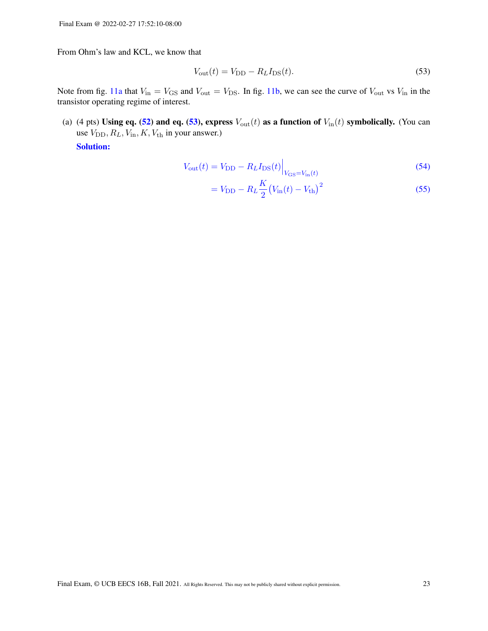From Ohm's law and KCL, we know that

<span id="page-22-0"></span>
$$
V_{\text{out}}(t) = V_{\text{DD}} - R_L I_{\text{DS}}(t). \tag{53}
$$

Note from fig. [11a](#page-21-0) that  $V_{\text{in}} = V_{\text{GS}}$  and  $V_{\text{out}} = V_{\text{DS}}$ . In fig. [11b,](#page-21-0) we can see the curve of  $V_{\text{out}}$  vs  $V_{\text{in}}$  in the transistor operating regime of interest.

(a) (4 pts) Using eq. [\(52\)](#page-21-1) and eq. [\(53\)](#page-22-0), express  $V_{\text{out}}(t)$  as a function of  $V_{\text{in}}(t)$  symbolically. (You can use  $V_{\text{DD}}, R_L, V_{\text{in}}, K, V_{\text{th}}$  in your answer.)

Solution:

$$
V_{\text{out}}(t) = V_{\text{DD}} - R_L I_{\text{DS}}(t) \Big|_{V_{\text{GS}} = V_{\text{in}}(t)}\tag{54}
$$

$$
= V_{\rm DD} - R_L \frac{K}{2} (V_{\rm in}(t) - V_{\rm th})^2
$$
\n(55)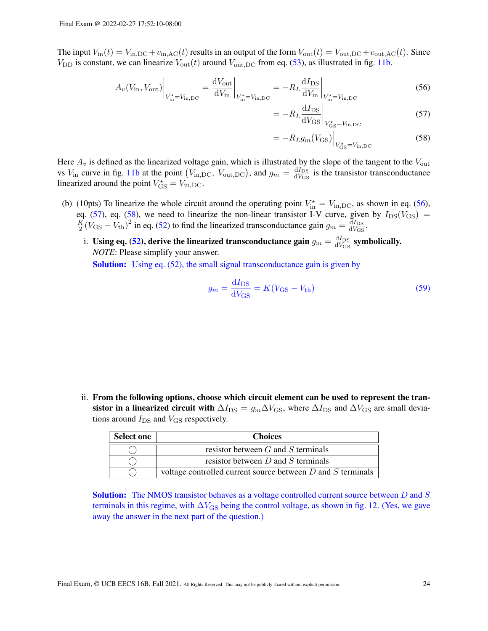The input  $V_{\text{in}}(t) = V_{\text{in,DC}} + v_{\text{in,AC}}(t)$  results in an output of the form  $V_{\text{out}}(t) = V_{\text{out,DC}} + v_{\text{out,AC}}(t)$ . Since  $V_{\text{DD}}$  is constant, we can linearize  $V_{\text{out}}(t)$  around  $V_{\text{out,DC}}$  from eq. [\(53\)](#page-22-0), as illustrated in fig. [11b.](#page-21-0)

$$
A_v(V_{\rm in}, V_{\rm out})\Big|_{V_{\rm in}^{\star} = V_{\rm in,DC}} = \frac{dV_{\rm out}}{dV_{\rm in}}\Big|_{V_{\rm in}^{\star} = V_{\rm in,DC}} = -R_L \frac{dI_{\rm DS}}{dV_{\rm in}}\Big|_{V_{\rm in}^{\star} = V_{\rm in,DC}}
$$
(56)

 $=$ 

<span id="page-23-2"></span><span id="page-23-1"></span><span id="page-23-0"></span>
$$
-R_L \frac{\mathrm{d}I_{\mathrm{DS}}}{\mathrm{d}V_{\mathrm{GS}}}\bigg|_{V_{\mathrm{GS}}^{\star} = V_{\mathrm{in,DC}}} \tag{57}
$$

$$
= -R_L g_m(V_{\rm GS})\Big|_{V_{\rm GS}^{\star} = V_{\rm in,DC}}\tag{58}
$$

Here  $A_v$  is defined as the linearized voltage gain, which is illustrated by the slope of the tangent to the  $V_{\text{out}}$ vs  $V_{\text{in}}$  curve in fig. [11b](#page-21-0) at the point  $(V_{\text{in,DC}}, V_{\text{out,DC}})$ , and  $g_m = \frac{dI_{\text{DS}}}{dV_{\text{CS}}}$  $\frac{dI_{DS}}{dV_{GS}}$  is the transistor transconductance linearized around the point  $V_{\text{GS}}^{\star} = V_{\text{in,DC}}$ .

- (b) (10pts) To linearize the whole circuit around the operating point  $V_{\text{in}}^* = V_{\text{in,DC}}$ , as shown in eq. [\(56\)](#page-23-0), eq. [\(57\)](#page-23-1), eq. [\(58\)](#page-23-2), we need to linearize the non-linear transistor I-V curve, given by  $I_{DS}(V_{GS}) = \frac{K}{N} (V_{GS} - V_{S})^2$  in eq. (52) to find the linearized transconductance gain  $g_{\text{max}} = \frac{dI_{DS}}{dI_{DS}}$  $\frac{1}{2}(V_{\rm GS} - V_{\rm th})^2$  in eq. [\(52\)](#page-21-1) to find the linearized transconductance gain  $g_m = \frac{dI_{\rm DS}}{dV_{\rm GS}}$  $\frac{\mathrm{d}I_{\mathrm{DS}}}{\mathrm{d}V_{\mathrm{GS}}}$ .
	- i. Using eq. [\(52\)](#page-21-1), derive the linearized transconductance gain  $g_m = \frac{dI_{DS}}{dV_{CS}}$  $\frac{dI_{DS}}{dV_{GS}}$  symbolically. *NOTE*: Please simplify your answer. Solution: Using eq. [\(52\)](#page-21-1), the small signal transconductance gain is given by

$$
g_m = \frac{\mathrm{d}I_{\mathrm{DS}}}{\mathrm{d}V_{\mathrm{GS}}} = K(V_{\mathrm{GS}} - V_{\mathrm{th}})
$$
\n(59)

ii. From the following options, choose which circuit element can be used to represent the transistor in a linearized circuit with  $\Delta I_{\text{DS}} = g_m \Delta V_{\text{GS}}$ , where  $\Delta I_{\text{DS}}$  and  $\Delta V_{\text{GS}}$  are small deviations around  $I_{DS}$  and  $V_{GS}$  respectively.

| <b>Select one</b> | <b>Choices</b>                                                  |  |  |
|-------------------|-----------------------------------------------------------------|--|--|
|                   | resistor between $G$ and $S$ terminals                          |  |  |
|                   | resistor between $D$ and $S$ terminals                          |  |  |
|                   | voltage controlled current source between $D$ and $S$ terminals |  |  |

Solution: The NMOS transistor behaves as a voltage controlled current source between D and S terminals in this regime, with  $\Delta V_{\rm GS}$  being the control voltage, as shown in fig. [12.](#page-25-0) (Yes, we gave away the answer in the next part of the question.)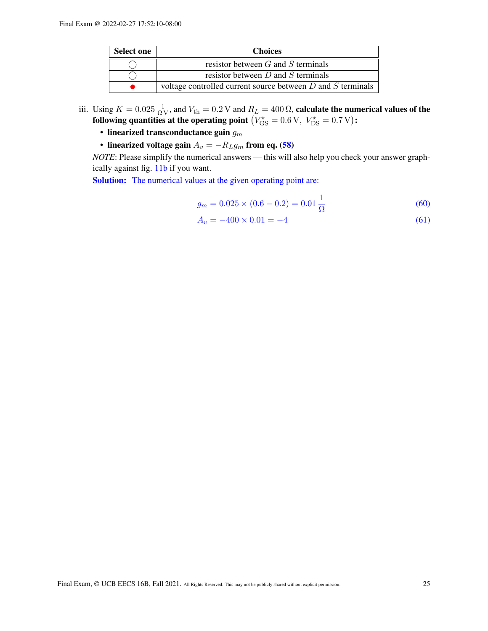| <b>Select one</b> | <b>Choices</b>                                                  |  |  |
|-------------------|-----------------------------------------------------------------|--|--|
|                   | resistor between $G$ and $S$ terminals                          |  |  |
|                   | resistor between $D$ and $S$ terminals                          |  |  |
|                   | voltage controlled current source between $D$ and $S$ terminals |  |  |

- iii. Using  $K = 0.025 \frac{1}{\Omega V}$ , and  $V_{\text{th}} = 0.2 V$  and  $R_L = 400 \Omega$ , calculate the numerical values of the following quantities at the operating point  $\left(V_{\rm GS}^{\star} = 0.6\,\textrm{V},\ V_{\rm DS}^{\star} = 0.7\,\textrm{V}\right)$ :
	- linearized transconductance gain  $g_m$
	- linearized voltage gain  $A_v = -R_Lg_m$  from eq. [\(58\)](#page-23-2)

*NOTE*: Please simplify the numerical answers — this will also help you check your answer graphically against fig. [11b](#page-21-0) if you want.

Solution: The numerical values at the given operating point are:

$$
g_m = 0.025 \times (0.6 - 0.2) = 0.01 \frac{1}{\Omega}
$$
\n(60)

$$
A_v = -400 \times 0.01 = -4 \tag{61}
$$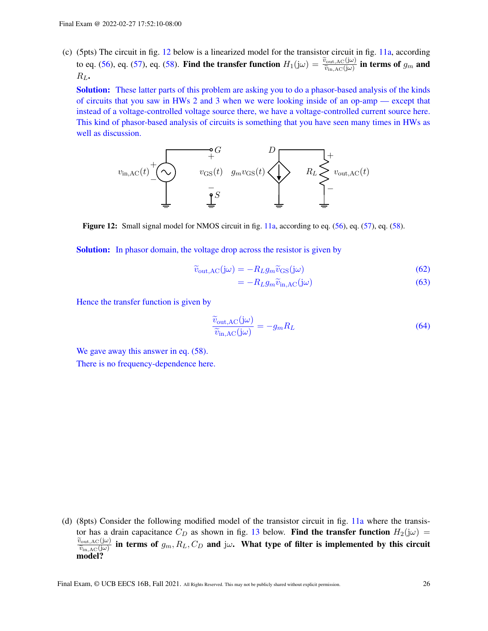(c) (5pts) The circuit in fig. [12](#page-25-0) below is a linearized model for the transistor circuit in fig. [11a,](#page-21-0) according to eq. [\(56\)](#page-23-0), eq. [\(57\)](#page-23-1), eq. [\(58\)](#page-23-2). Find the transfer function  $H_1(j\omega) = \frac{\widetilde{v}_{\text{out,AC}}(j\omega)}{\widetilde{v}_{\text{in,AC}}(j\omega)}$  in terms of  $g_m$  and  $P_{\text{in,AC}}$  $R_L$ .

Solution: These latter parts of this problem are asking you to do a phasor-based analysis of the kinds of circuits that you saw in HWs 2 and 3 when we were looking inside of an op-amp — except that instead of a voltage-controlled voltage source there, we have a voltage-controlled current source here. This kind of phasor-based analysis of circuits is something that you have seen many times in HWs as well as discussion.

<span id="page-25-0"></span>

Figure 12: Small signal model for NMOS circuit in fig. [11a,](#page-21-0) according to eq. [\(56\)](#page-23-0), eq. [\(57\)](#page-23-1), eq. [\(58\)](#page-23-2).

Solution: In phasor domain, the voltage drop across the resistor is given by

$$
\widetilde{v}_{\text{out,AC}}(\mathbf{j}\omega) = -R_L g_m \widetilde{v}_{\text{GS}}(\mathbf{j}\omega) \tag{62}
$$

$$
=-R_L g_m \widetilde{v}_{\text{in,AC}}(\mathbf{j}\omega) \tag{63}
$$

Hence the transfer function is given by

$$
\frac{\widetilde{v}_{\text{out,AC}}(j\omega)}{\widetilde{v}_{\text{in,AC}}(j\omega)} = -g_m R_L
$$
\n(64)

We gave away this answer in eq.  $(58)$ . There is no frequency-dependence here.

(d) (8pts) Consider the following modified model of the transistor circuit in fig. [11a](#page-21-0) where the transistor has a drain capacitance  $C_D$  as shown in fig. [13](#page-26-0) below. Find the transfer function  $H_2(j\omega)$  =  $\frac{\widetilde{v}_{\text{out},\text{AC}}(j\omega)}{\widetilde{v}_{\text{in},\text{AC}}(j\omega)}$  in terms of  $g_m, R_L, C_D$  and j $\omega$ . What type of filter is implemented by this circuit  $\overline{\widetilde{v}_{\text{in,AC}}(\mathbf{j}\omega)}$ model?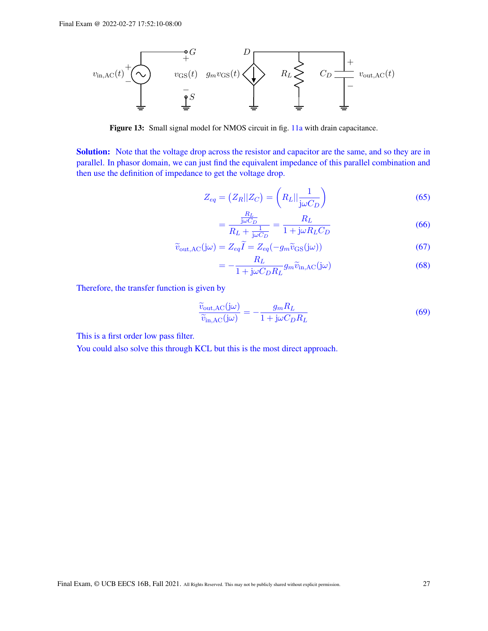<span id="page-26-0"></span>

Figure 13: Small signal model for NMOS circuit in fig. [11a](#page-21-0) with drain capacitance.

Solution: Note that the voltage drop across the resistor and capacitor are the same, and so they are in parallel. In phasor domain, we can just find the equivalent impedance of this parallel combination and then use the definition of impedance to get the voltage drop.

$$
Z_{eq} = (Z_R || Z_C) = \left(R_L || \frac{1}{j\omega C_D}\right)
$$
\n(65)

$$
=\frac{\frac{RL}{j\omega C_D}}{R_L + \frac{1}{j\omega C_D}} = \frac{R_L}{1 + j\omega R_L C_D}
$$
(66)

$$
\widetilde{v}_{\text{out,AC}}(j\omega) = Z_{eq}\widetilde{I} = Z_{eq}(-g_m\widetilde{v}_{\text{GS}}(j\omega))\tag{67}
$$

$$
= -\frac{R_L}{1 + j\omega C_D R_L} g_m \widetilde{v}_{\text{in,AC}}(j\omega)
$$
\n(68)

Therefore, the transfer function is given by

$$
\frac{\widetilde{v}_{\text{out,AC}}(j\omega)}{\widetilde{v}_{\text{in,AC}}(j\omega)} = -\frac{g_m R_L}{1 + j\omega C_D R_L}
$$
\n(69)

This is a first order low pass filter.

You could also solve this through KCL but this is the most direct approach.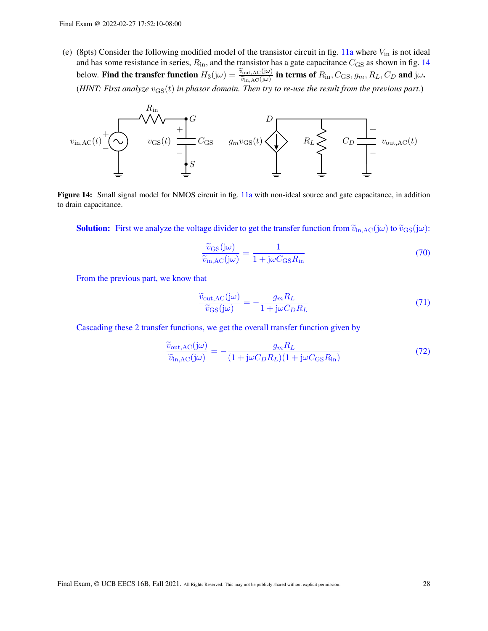(e) (8pts) Consider the following modified model of the transistor circuit in fig. [11a](#page-21-0) where  $V_{\text{in}}$  is not ideal and has some resistance in series,  $R_{\rm in}$ , and the transistor has a gate capacitance  $C_{\rm GS}$  as shown in fig. [14](#page-27-0) below. Find the transfer function  $H_3(j\omega) = \frac{\tilde{v}_{\text{out,AC}}(j\omega)}{\tilde{v}_{\text{in,AC}}(j\omega)}$  in terms of  $R_{\text{in}}$ ,  $C_{\text{GS}}$ ,  $g_m$ ,  $R_L$ ,  $C_D$  and  $j\omega$ . (*HINT: First analyze*  $v_{\text{GS}}(t)$  *in phasor domain. Then try to re-use the result from the previous part.*)

<span id="page-27-0"></span>

Figure 14: Small signal model for NMOS circuit in fig. [11a](#page-21-0) with non-ideal source and gate capacitance, in addition to drain capacitance.

**Solution:** First we analyze the voltage divider to get the transfer function from  $\tilde{v}_{\text{in,AC}}(j\omega)$  to  $\tilde{v}_{\text{GS}}(j\omega)$ :

$$
\frac{\widetilde{v}_{\text{GS}}(j\omega)}{\widetilde{v}_{\text{in,AC}}(j\omega)} = \frac{1}{1 + j\omega C_{\text{GS}}R_{\text{in}}} \tag{70}
$$

From the previous part, we know that

$$
\frac{\widetilde{v}_{\text{out,AC}}(j\omega)}{\widetilde{v}_{\text{GS}}(j\omega)} = -\frac{g_m R_L}{1 + j\omega C_D R_L} \tag{71}
$$

Cascading these 2 transfer functions, we get the overall transfer function given by

$$
\frac{\widetilde{v}_{\text{out,AC}}(j\omega)}{\widetilde{v}_{\text{in,AC}}(j\omega)} = -\frac{g_m R_L}{(1 + j\omega C_D R_L)(1 + j\omega C_{\text{GS}} R_{\text{in}})}
$$
(72)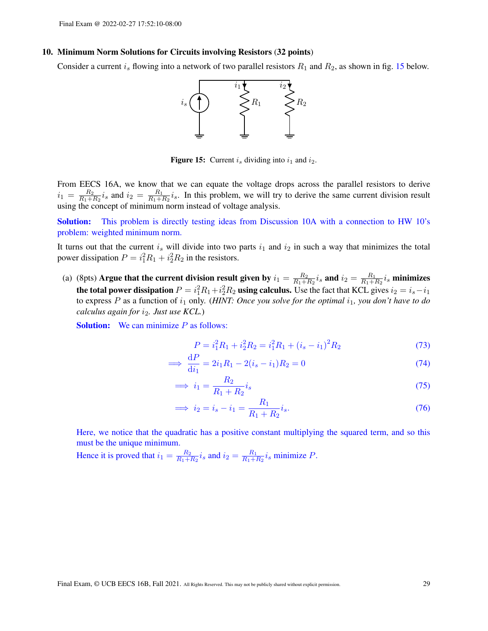#### 10. Minimum Norm Solutions for Circuits involving Resistors (32 points)

<span id="page-28-0"></span>Consider a current  $i_s$  flowing into a network of two parallel resistors  $R_1$  and  $R_2$ , as shown in fig. [15](#page-28-0) below.



**Figure 15:** Current i<sub>s</sub> dividing into  $i_1$  and  $i_2$ .

From EECS 16A, we know that we can equate the voltage drops across the parallel resistors to derive  $i_1 = \frac{R_2}{R_1 + R_2}$  $\frac{R_2}{R_1+R_2}i_s$  and  $i_2 = \frac{R_1}{R_1+R_2}$  $\frac{R_1}{R_1+R_2}i_s$ . In this problem, we will try to derive the same current division result using the concept of minimum norm instead of voltage analysis.

Solution: This problem is directly testing ideas from Discussion 10A with a connection to HW 10's problem: weighted minimum norm.

It turns out that the current  $i_s$  will divide into two parts  $i_1$  and  $i_2$  in such a way that minimizes the total power dissipation  $P = i_1^2 R_1 + i_2^2 R_2$  in the resistors.

(a) (8pts) Argue that the current division result given by  $i_1 = \frac{R_2}{R_1 + R_2}$  $\frac{R_2}{R_1+R_2}i_s$  and  $i_2=\frac{R_1}{R_1+1}$  $\frac{R_1}{R_1+R_2} i_s$  minimizes the total power dissipation  $P = i_1^2 R_1 + i_2^2 R_2$  using calculus. Use the fact that KCL gives  $i_2 = i_s - i_1$ to express  $P$  as a function of  $i_1$  only. (*HINT: Once you solve for the optimal*  $i_1$ *, you don't have to do calculus again for*  $i_2$ *. Just use KCL*.)

**Solution:** We can minimize  $P$  as follows:

$$
P = i_1^2 R_1 + i_2^2 R_2 = i_1^2 R_1 + (i_s - i_1)^2 R_2
$$
\n(73)

$$
\implies \frac{\mathrm{d}P}{\mathrm{d}i_1} = 2i_1R_1 - 2(i_s - i_1)R_2 = 0\tag{74}
$$

$$
\implies i_1 = \frac{R_2}{R_1 + R_2} i_s \tag{75}
$$

$$
\implies i_2 = i_s - i_1 = \frac{R_1}{R_1 + R_2} i_s. \tag{76}
$$

Here, we notice that the quadratic has a positive constant multiplying the squared term, and so this must be the unique minimum.

Hence it is proved that  $i_1 = \frac{R_2}{R_1 + R_2}$  $\frac{R_2}{R_1+R_2}i_s$  and  $i_2=\frac{R_1}{R_1+1}$  $\frac{R_1}{R_1+R_2}i_s$  minimize P.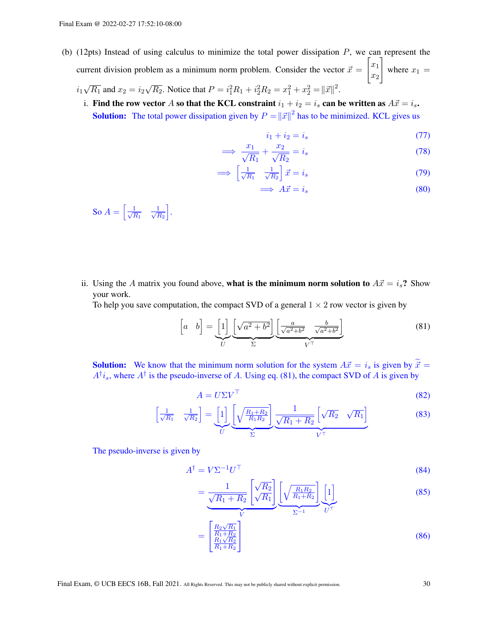- (b) (12pts) Instead of using calculus to minimize the total power dissipation  $P$ , we can represent the current division problem as a minimum norm problem. Consider the vector  $\vec{x} =$  $\lceil x_1 \rceil$  $\overline{x_2}$ 1 where  $x_1 =$ √ √
	- $i_1$  $\overline{R_1}$  and  $x_2 = i_2$  $\overline{R_2}$ . Notice that  $P = i_1^2 R_1 + i_2^2 R_2 = x_1^2 + x_2^2 = ||\vec{x}||^2$ .
	- i. Find the row vector A so that the KCL constraint  $i_1 + i_2 = i_s$  can be written as  $A\vec{x} = i_s$ . **Solution:** The total power dissipation given by  $P = ||\vec{x}||^2$  has to be minimized. KCL gives us

$$
i_1 + i_2 = i_s \tag{77}
$$

$$
\implies \frac{x_1}{\sqrt{R_1}} + \frac{x_2}{\sqrt{R_2}} = i_s \tag{78}
$$

$$
\implies \left[\frac{1}{\sqrt{R_1}} \quad \frac{1}{\sqrt{R_2}}\right] \vec{x} = i_s \tag{79}
$$

$$
\implies A\vec{x} = i_s \tag{80}
$$

So  $A = \left[\frac{1}{\sqrt{I}}\right]$  $\frac{1}{R_1}$   $\frac{1}{\sqrt{I}}$  $\scriptstyle R_2$ i .

ii. Using the A matrix you found above, what is the minimum norm solution to  $A\vec{x} = i_s$ ? Show your work.

To help you save computation, the compact SVD of a general  $1 \times 2$  row vector is given by

<span id="page-29-0"></span>
$$
\begin{bmatrix} a & b \end{bmatrix} = \underbrace{\begin{bmatrix} 1 \end{bmatrix}}_{U} \underbrace{\begin{bmatrix} \sqrt{a^2 + b^2} \end{bmatrix}}_{\Sigma} \underbrace{\begin{bmatrix} \frac{a}{\sqrt{a^2 + b^2}} & \frac{b}{\sqrt{a^2 + b^2}} \end{bmatrix}}_{V^{\top}}
$$
\n(81)

**Solution:** We know that the minimum norm solution for the system  $A\vec{x} = i_s$  is given by  $\tilde{\vec{x}} = \vec{x}$  $A^{\dagger}i_s$ , where  $A^{\dagger}$  is the pseudo-inverse of A. Using eq. [\(81\)](#page-29-0), the compact SVD of A is given by

$$
A = U \Sigma V^{\top}
$$
 (82)

$$
\left[\frac{1}{\sqrt{R_1}} \quad \frac{1}{\sqrt{R_2}}\right] = \underbrace{\left[1\right]}_{U} \underbrace{\left(\sqrt{\frac{R_1 + R_2}{R_1 R_2}}\right)}_{\Sigma} \underbrace{\frac{1}{\sqrt{R_1 + R_2}} \left[\sqrt{R_2} \quad \sqrt{R_1}\right]}_{V^{\top}}
$$
\n(83)

The pseudo-inverse is given by

$$
A^{\dagger} = V \Sigma^{-1} U^{\top} \tag{84}
$$

$$
=\underbrace{\frac{1}{\sqrt{R_1+R_2}}\left[\sqrt{\frac{R_2}{R_1}}\right]}_{V}\underbrace{\left[\sqrt{\frac{R_1R_2}{R_1+R_2}}\right]}_{\Sigma^{-1}}\underbrace{\left[1\right]}_{U^{\top}}
$$
(85)

$$
=\begin{bmatrix} \frac{R_2\sqrt{R_1}}{R_1+R_2} \\ \frac{R_1\sqrt{R_2}}{R_1+R_2} \end{bmatrix} \tag{86}
$$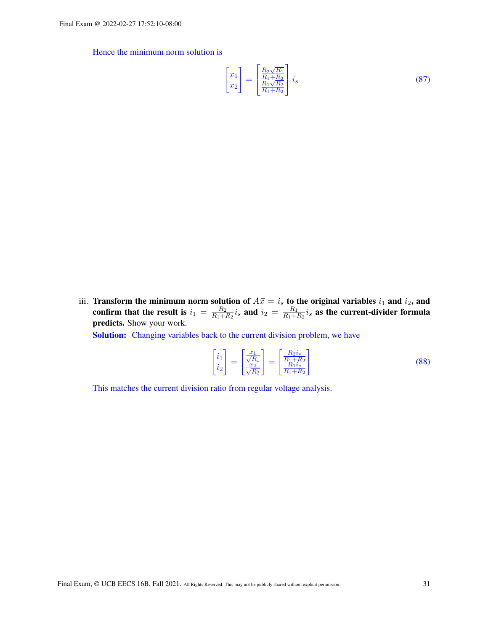Hence the minimum norm solution is

$$
\begin{bmatrix} x_1 \\ x_2 \end{bmatrix} = \begin{bmatrix} \frac{R_2 \sqrt{R_1}}{R_1 + R_2} \\ \frac{R_1 \sqrt{R_2}}{R_1 + R_2} \end{bmatrix} i_s \tag{87}
$$

iii. Transform the minimum norm solution of  $A\vec{x} = i_s$  to the original variables  $i_1$  and  $i_2$ , and confirm that the result is  $i_1 = \frac{R_2}{R_1 + R_2}$  $\frac{R_2}{R_1+R_2}i_s$  and  $i_2 = \frac{R_1}{R_1+R_2}$  $\frac{R_1}{R_1+R_2}i_s$  as the current-divider formula predicts. Show your work.

Solution: Changing variables back to the current division problem, we have

$$
\begin{bmatrix} i_1 \\ i_2 \end{bmatrix} = \begin{bmatrix} \frac{x_1}{\sqrt{R_1}} \\ \frac{x_2}{\sqrt{R_2}} \end{bmatrix} = \begin{bmatrix} \frac{R_2 i_s}{R_1 + R_2} \\ \frac{R_1 i_s}{R_1 + R_2} \end{bmatrix}
$$
\n(88)

This matches the current division ratio from regular voltage analysis.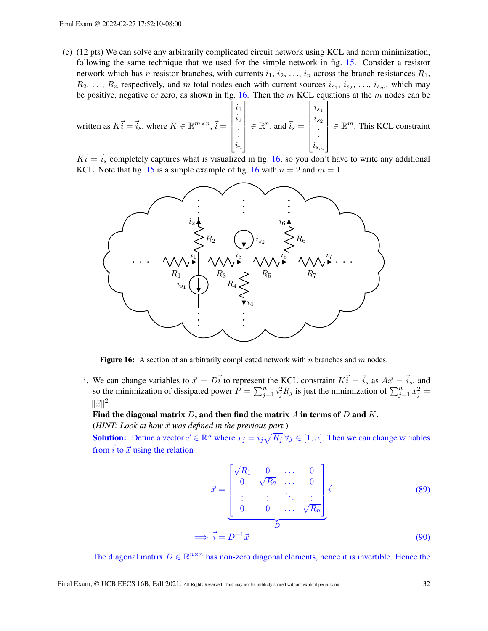(c) (12 pts) We can solve any arbitrarily complicated circuit network using KCL and norm minimization, following the same technique that we used for the simple network in fig. [15.](#page-28-0) Consider a resistor network which has *n* resistor branches, with currents  $i_1, i_2, \ldots, i_n$  across the branch resistances  $R_1$ ,  $R_2, \ldots, R_n$  respectively, and m total nodes each with current sources  $i_{s_1}, i_{s_2}, \ldots, i_{s_m}$ , which may be positive, negative or zero, as shown in fig. [16.](#page-31-0) Then the  $m$  KCL equations at the  $m$  nodes can be

written as 
$$
K\vec{i} = \vec{i}_s
$$
, where  $K \in \mathbb{R}^{m \times n}$ ,  $\vec{i} = \begin{bmatrix} i_1 \\ i_2 \\ \vdots \\ i_n \end{bmatrix} \in \mathbb{R}^n$ , and  $\vec{i}_s = \begin{bmatrix} i_{s_1} \\ i_{s_2} \\ \vdots \\ i_{s_m} \end{bmatrix} \in \mathbb{R}^m$ . This KCL constraint

<span id="page-31-0"></span> $K_i = \vec{i}_s$  completely captures what is visualized in fig. [16,](#page-31-0) so you don't have to write any additional KCL. Note that fig. [15](#page-28-0) is a simple example of fig. [16](#page-31-0) with  $n = 2$  and  $m = 1$ .



**Figure 16:** A section of an arbitrarily complicated network with n branches and m nodes.

i. We can change variables to  $\vec{x} = D\vec{i}$  to represent the KCL constraint  $K\vec{i} = \vec{i}_s$  as  $A\vec{x} = \vec{i}_s$ , and so the minimization of dissipated power  $P = \sum_{j=1}^{n} i_j^2 R_j$  is just the minimization of  $\sum_{j=1}^{n} x_j^2 =$  $\|\vec{x}\|^2$ .

### Find the diagonal matrix  $D$ , and then find the matrix  $A$  in terms of  $D$  and  $K$ . ( $HINT: Look at how  $\vec{x}$  was defined in the previous part.)$

**Solution:** Define a vector  $\vec{x} \in \mathbb{R}^n$  where  $x_j = i_j \sqrt{R_j} \,\forall j \in [1, n]$ . Then we can change variables from  $\vec{i}$  to  $\vec{x}$  using the relation

$$
\vec{x} = \begin{bmatrix}\n\sqrt{R_1} & 0 & \dots & 0 \\
0 & \sqrt{R_2} & \dots & 0 \\
\vdots & \vdots & \ddots & \vdots \\
0 & 0 & \dots & \sqrt{R_n}\n\end{bmatrix} \vec{i}
$$
\n
$$
\implies \vec{i} = D^{-1}\vec{x}
$$
\n(89)

The diagonal matrix  $D \in \mathbb{R}^{n \times n}$  has non-zero diagonal elements, hence it is invertible. Hence the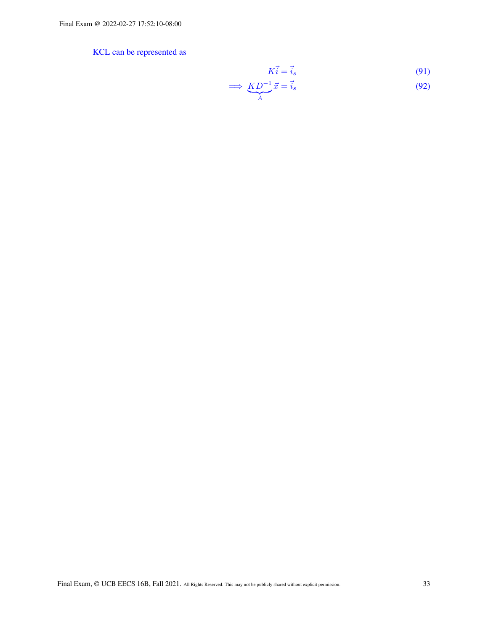# KCL can be represented as

<span id="page-32-0"></span>
$$
K\vec{i} = \vec{i}_s \tag{91}
$$

$$
\implies \underbrace{KD^{-1}}_{A}\vec{x} = \vec{i}_s \tag{92}
$$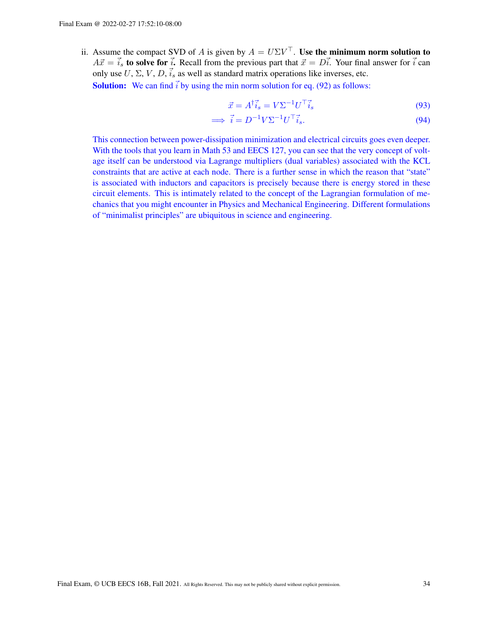ii. Assume the compact SVD of A is given by  $A = U\Sigma V^{\top}$ . Use the minimum norm solution to  $A\vec{x} = \vec{i_s}$  to solve for  $\vec{i}$ . Recall from the previous part that  $\vec{x} = D\vec{i}$ . Your final answer for  $\vec{i}$  can only use  $U, \Sigma, V, D, \vec{i}_s$  as well as standard matrix operations like inverses, etc.

**Solution:** We can find  $\vec{i}$  by using the min norm solution for eq. [\(92\)](#page-32-0) as follows:

$$
\vec{x} = A^{\dagger} \vec{i}_s = V \Sigma^{-1} U^{\top} \vec{i}_s \tag{93}
$$

$$
\implies \vec{i} = D^{-1} V \Sigma^{-1} U^{\top} \vec{i}_s. \tag{94}
$$

This connection between power-dissipation minimization and electrical circuits goes even deeper. With the tools that you learn in Math 53 and EECS 127, you can see that the very concept of voltage itself can be understood via Lagrange multipliers (dual variables) associated with the KCL constraints that are active at each node. There is a further sense in which the reason that "state" is associated with inductors and capacitors is precisely because there is energy stored in these circuit elements. This is intimately related to the concept of the Lagrangian formulation of mechanics that you might encounter in Physics and Mechanical Engineering. Different formulations of "minimalist principles" are ubiquitous in science and engineering.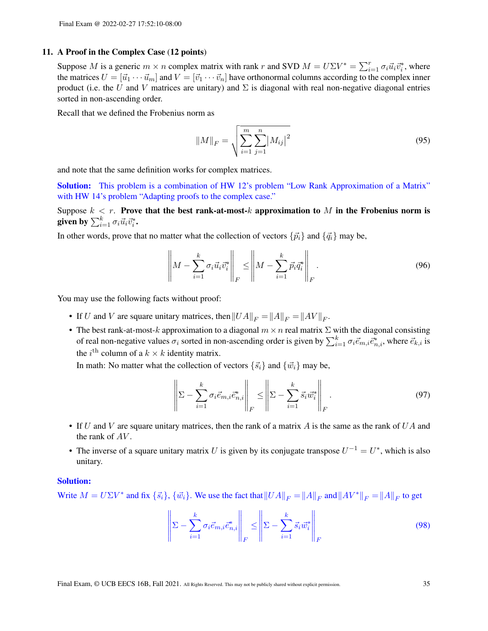#### 11. A Proof in the Complex Case (12 points)

Suppose M is a generic  $m \times n$  complex matrix with rank r and SVD  $M = U \Sigma V^* = \sum_{i=1}^r \sigma_i \vec{u}_i \vec{v}_i^*$ , where the matrices  $U = [\vec{u}_1 \cdots \vec{u}_m]$  and  $V = [\vec{v}_1 \cdots \vec{v}_n]$  have orthonormal columns according to the complex inner product (i.e. the U and V matrices are unitary) and  $\Sigma$  is diagonal with real non-negative diagonal entries sorted in non-ascending order.

Recall that we defined the Frobenius norm as

$$
||M||_F = \sqrt{\sum_{i=1}^{m} \sum_{j=1}^{n} |M_{ij}|^2}
$$
 (95)

and note that the same definition works for complex matrices.

Solution: This problem is a combination of HW 12's problem "Low Rank Approximation of a Matrix" with HW 14's problem "Adapting proofs to the complex case."

Suppose  $k < r$ . Prove that the best rank-at-most-k approximation to M in the Frobenius norm is given by  $\sum_{i=1}^k \sigma_i \vec{u}_i \vec{v}_i^*.$ 

In other words, prove that no matter what the collection of vectors  $\{\vec{p}_i\}$  and  $\{\vec{q}_i\}$  may be,

$$
\left\| M - \sum_{i=1}^{k} \sigma_i \vec{u}_i \vec{v}_i^* \right\|_F \le \left\| M - \sum_{i=1}^{k} \vec{p}_i \vec{q}_i^* \right\|_F.
$$
\n(96)

You may use the following facts without proof:

- If U and V are square unitary matrices, then  $||UA||_F = ||A||_F = ||AV||_F$ .
- The best rank-at-most-k approximation to a diagonal  $m \times n$  real matrix  $\Sigma$  with the diagonal consisting of real non-negative values  $\sigma_i$  sorted in non-ascending order is given by  $\sum_{i=1}^k \sigma_i \vec{e}_{m,i}$ , where  $\vec{e}_{k,i}$  is the *i*<sup>th</sup> column of a  $k \times k$  identity matrix.

In math: No matter what the collection of vectors  $\{\vec{s}_i\}$  and  $\{\vec{w}_i\}$  may be,

 $\mathbf{u}$ 

$$
\left\| \Sigma - \sum_{i=1}^{k} \sigma_i \vec{e}_{m,i} \vec{e}_{n,i}^* \right\|_F \le \left\| \Sigma - \sum_{i=1}^{k} \vec{s}_i \vec{w}_i^* \right\|_F.
$$
\n(97)

- If U and V are square unitary matrices, then the rank of a matrix A is the same as the rank of UA and the rank of  $AV$ .
- The inverse of a square unitary matrix U is given by its conjugate transpose  $U^{-1} = U^*$ , which is also unitary.

#### Solution:

Write  $M = U\Sigma V^*$  and fix  $\{\vec{s}_i\}$ ,  $\{\vec{w}_i\}$ . We use the fact that  $||UA||_F = ||A||_F$  and  $||AV^*||_F = ||A||_F$  to get

$$
\left\| \Sigma - \sum_{i=1}^{k} \sigma_i \vec{e}_{m,i} \vec{e}_{n,i}^* \right\|_F \le \left\| \Sigma - \sum_{i=1}^{k} \vec{s}_i \vec{w}_i^* \right\|_F \tag{98}
$$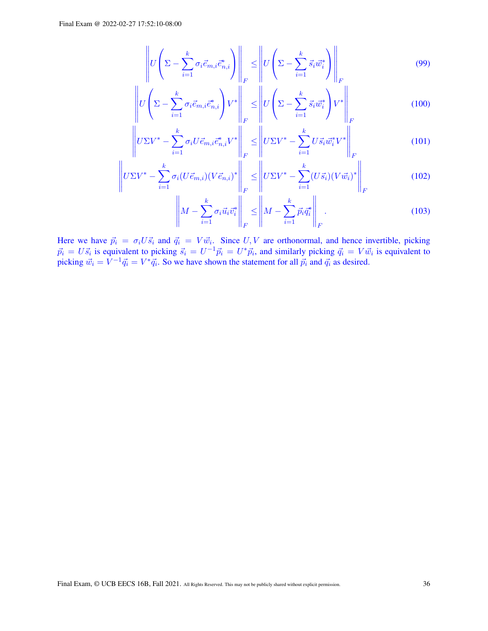$$
\left\| U \left( \Sigma - \sum_{i=1}^{k} \sigma_i \vec{e}_{m,i} \vec{e}_{n,i}^* \right) \right\|_F \le \left\| U \left( \Sigma - \sum_{i=1}^{k} \vec{s}_i \vec{w}_i^* \right) \right\|_F \tag{99}
$$

$$
\left\| U \left( \Sigma - \sum_{i=1}^{k} \sigma_i \vec{e}_{m,i} \vec{e}_{n,i}^* \right) V^* \right\|_F \le \left\| U \left( \Sigma - \sum_{i=1}^{k} \vec{s}_i \vec{w}_i^* \right) V^* \right\|_F
$$
(100)

$$
\left\| U \Sigma V^* - \sum_{i=1}^k \sigma_i U \vec{e}_{m,i} \vec{e}_{n,i}^* V^* \right\|_F \le \left\| U \Sigma V^* - \sum_{i=1}^k U \vec{s}_i \vec{w}_i^* V^* \right\|_F
$$
\n(101)

$$
\left\| U \Sigma V^* - \sum_{i=1}^k \sigma_i (U \vec{e}_{m,i}) (V \vec{e}_{n,i})^* \right\|_F \le \left\| U \Sigma V^* - \sum_{i=1}^k (U \vec{s}_i) (V \vec{w}_i)^* \right\|_F
$$
(102)

$$
\left\| M - \sum_{i=1}^{k} \sigma_i \vec{u}_i \vec{v}_i^* \right\|_F \le \left\| M - \sum_{i=1}^{k} \vec{p}_i \vec{q}_i^* \right\|_F.
$$
\n(103)

Here we have  $\vec{p}_i = \sigma_i U \vec{s}_i$  and  $\vec{q}_i = V \vec{w}_i$ . Since  $U, V$  are orthonormal, and hence invertible, picking  $\vec{p}_i = U\vec{s}_i$  is equivalent to picking  $\vec{s}_i = U^{-1}\vec{p}_i = U^*\vec{p}_i$ , and similarly picking  $\vec{q}_i = V\vec{w}_i$  is equivalent to picking  $\vec{w}_i = V^{-1} \vec{q}_i = V^* \vec{q}_i$ . So we have shown the statement for all  $\vec{p}_i$  and  $\vec{q}_i$  as desired.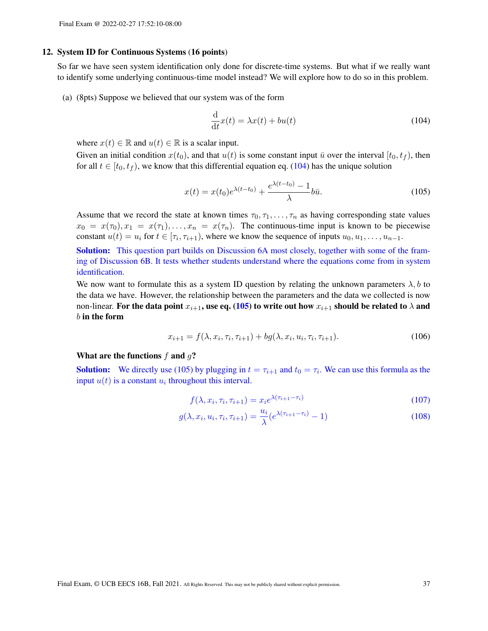#### 12. System ID for Continuous Systems (16 points)

So far we have seen system identification only done for discrete-time systems. But what if we really want to identify some underlying continuous-time model instead? We will explore how to do so in this problem.

(a) (8pts) Suppose we believed that our system was of the form

<span id="page-36-1"></span><span id="page-36-0"></span>
$$
\frac{\mathrm{d}}{\mathrm{d}t}x(t) = \lambda x(t) + bu(t)
$$
\n(104)

where  $x(t) \in \mathbb{R}$  and  $u(t) \in \mathbb{R}$  is a scalar input.

Given an initial condition  $x(t_0)$ , and that  $u(t)$  is some constant input  $\bar{u}$  over the interval  $[t_0, t_f)$ , then for all  $t \in [t_0, t_f)$ , we know that this differential equation eq. [\(104\)](#page-36-0) has the unique solution

$$
x(t) = x(t_0)e^{\lambda(t-t_0)} + \frac{e^{\lambda(t-t_0)} - 1}{\lambda}b\bar{u}.
$$
 (105)

Assume that we record the state at known times  $\tau_0, \tau_1, \ldots, \tau_n$  as having corresponding state values  $x_0 = x(\tau_0), x_1 = x(\tau_1), \ldots, x_n = x(\tau_n)$ . The continuous-time input is known to be piecewise constant  $u(t) = u_i$  for  $t \in [\tau_i, \tau_{i+1})$ , where we know the sequence of inputs  $u_0, u_1, \dots, u_{n-1}$ .

**Solution:** This question part builds on Discussion 6A most closely, together with some of the framing of Discussion 6B. It tests whether students understand where the equations come from in system identification.

We now want to formulate this as a system ID question by relating the unknown parameters  $\lambda$ , b to the data we have. However, the relationship between the parameters and the data we collected is now non-linear. For the data point  $x_{i+1}$ , use eq. [\(105\)](#page-36-1) to write out how  $x_{i+1}$  should be related to  $\lambda$  and  $b$  in the form

$$
x_{i+1} = f(\lambda, x_i, \tau_i, \tau_{i+1}) + bg(\lambda, x_i, u_i, \tau_i, \tau_{i+1}).
$$
\n(106)

#### What are the functions  $f$  and  $q$ ?

**Solution:** We directly use [\(105\)](#page-36-1) by plugging in  $t = \tau_{i+1}$  and  $t_0 = \tau_i$ . We can use this formula as the input  $u(t)$  is a constant  $u_i$  throughout this interval.

<span id="page-36-2"></span>
$$
f(\lambda, x_i, \tau_i, \tau_{i+1}) = x_i e^{\lambda(\tau_{i+1} - \tau_i)}
$$
\n(107)

$$
g(\lambda, x_i, u_i, \tau_i, \tau_{i+1}) = \frac{u_i}{\lambda} (e^{\lambda(\tau_{i+1} - \tau_i)} - 1)
$$
\n(108)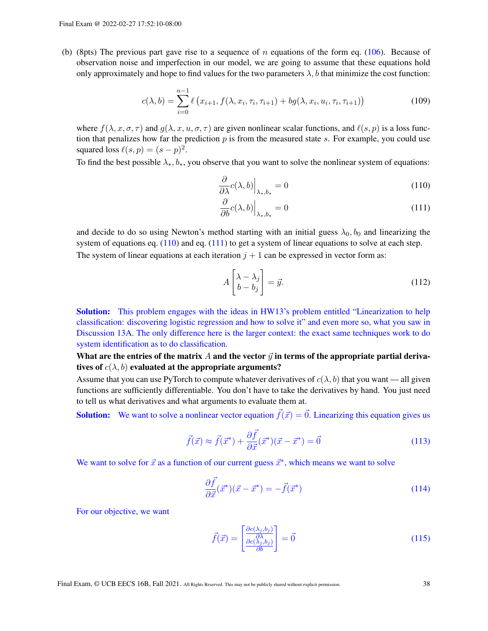(b) (8pts) The previous part gave rise to a sequence of n equations of the form eq. [\(106\)](#page-36-2). Because of observation noise and imperfection in our model, we are going to assume that these equations hold only approximately and hope to find values for the two parameters  $\lambda$ , b that minimize the cost function:

$$
c(\lambda, b) = \sum_{i=0}^{n-1} \ell(x_{i+1}, f(\lambda, x_i, \tau_i, \tau_{i+1}) + bg(\lambda, x_i, u_i, \tau_i, \tau_{i+1}))
$$
(109)

where  $f(\lambda, x, \sigma, \tau)$  and  $g(\lambda, x, u, \sigma, \tau)$  are given nonlinear scalar functions, and  $\ell(s, p)$  is a loss function that penalizes how far the prediction  $p$  is from the measured state s. For example, you could use squared loss  $\ell(s, p) = (s - p)^2$ .

To find the best possible  $\lambda_*, b_*,$  you observe that you want to solve the nonlinear system of equations:

$$
\left. \frac{\partial}{\partial \lambda} c(\lambda, b) \right|_{\lambda_*, b_*} = 0 \tag{110}
$$

<span id="page-37-1"></span><span id="page-37-0"></span>
$$
\left. \frac{\partial}{\partial b} c(\lambda, b) \right|_{\lambda_*, b_*} = 0 \tag{111}
$$

and decide to do so using Newton's method starting with an initial guess  $\lambda_0$ ,  $b_0$  and linearizing the system of equations eq.  $(110)$  and eq.  $(111)$  to get a system of linear equations to solve at each step. The system of linear equations at each iteration  $j + 1$  can be expressed in vector form as:

$$
A\begin{bmatrix} \lambda - \lambda_j \\ b - b_j \end{bmatrix} = \vec{y}.\tag{112}
$$

Solution: This problem engages with the ideas in HW13's problem entitled "Linearization to help classification: discovering logistic regression and how to solve it" and even more so, what you saw in Discussion 13A. The only difference here is the larger context: the exact same techniques work to do system identification as to do classification.

What are the entries of the matrix A and the vector  $\vec{y}$  in terms of the appropriate partial derivatives of  $c(\lambda, b)$  evaluated at the appropriate arguments?

Assume that you can use PyTorch to compute whatever derivatives of  $c(\lambda, b)$  that you want — all given functions are sufficiently differentiable. You don't have to take the derivatives by hand. You just need to tell us what derivatives and what arguments to evaluate them at.

**Solution:** We want to solve a nonlinear vector equation  $\vec{f}(\vec{x}) = \vec{0}$ . Linearizing this equation gives us

$$
\vec{f}(\vec{x}) \approx \vec{f}(\vec{x}^*) + \frac{\partial \vec{f}}{\partial \vec{x}}(\vec{x}^*)(\vec{x} - \vec{x}^*) = \vec{0}
$$
\n(113)

We want to solve for  $\vec{x}$  as a function of our current guess  $\vec{x}^*$ , which means we want to solve

$$
\frac{\partial \vec{f}}{\partial \vec{x}}(\vec{x}^*)(\vec{x} - \vec{x}^*) = -\vec{f}(\vec{x}^*)
$$
\n(114)

For our objective, we want

$$
\vec{f}(\vec{x}) = \begin{bmatrix} \frac{\partial c(\lambda_j, b_j)}{\partial \lambda} \\ \frac{\partial c(\lambda_j, b_j)}{\partial b} \end{bmatrix} = \vec{0}
$$
\n(115)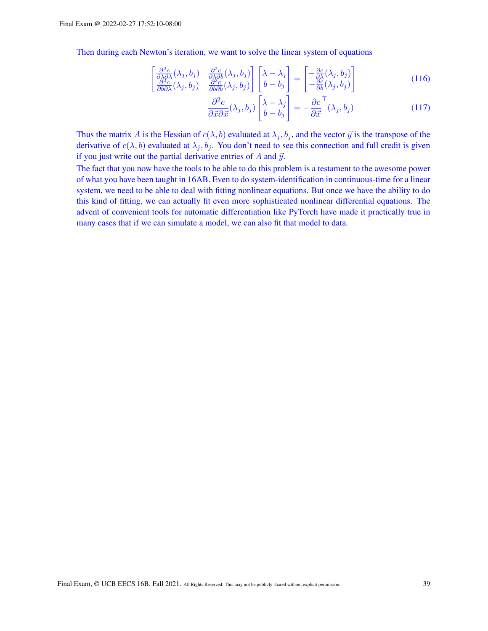Then during each Newton's iteration, we want to solve the linear system of equations

$$
\begin{bmatrix}\n\frac{\partial^2 c}{\partial \lambda \partial \lambda}(\lambda_j, b_j) & \frac{\partial^2 c}{\partial \lambda \partial b}(\lambda_j, b_j) \\
\frac{\partial^2 c}{\partial b \partial \lambda}(\lambda_j, b_j) & \frac{\partial^2 c}{\partial b \partial b}(\lambda_j, b_j)\n\end{bmatrix}\n\begin{bmatrix}\n\lambda - \lambda_j \\
b - b_j\n\end{bmatrix} =\n\begin{bmatrix}\n-\frac{\partial c}{\partial \lambda}(\lambda_j, b_j) \\
-\frac{\partial c}{\partial b}(\lambda_j, b_j)\n\end{bmatrix}
$$
\n(116)

$$
\frac{\partial^2 c}{\partial \vec{x} \partial \vec{x}} (\lambda_j, b_j) \begin{bmatrix} \lambda - \lambda_j \\ b - b_j \end{bmatrix} = -\frac{\partial c}{\partial \vec{x}}^\top (\lambda_j, b_j)
$$
(117)

Thus the matrix A is the Hessian of  $c(\lambda, b)$  evaluated at  $\lambda_j, b_j$ , and the vector  $\vec{y}$  is the transpose of the derivative of  $c(\lambda, b)$  evaluated at  $\lambda_j, b_j$ . You don't need to see this connection and full credit is given if you just write out the partial derivative entries of  $A$  and  $\vec{y}$ .

The fact that you now have the tools to be able to do this problem is a testament to the awesome power of what you have been taught in 16AB. Even to do system-identification in continuous-time for a linear system, we need to be able to deal with fitting nonlinear equations. But once we have the ability to do this kind of fitting, we can actually fit even more sophisticated nonlinear differential equations. The advent of convenient tools for automatic differentiation like PyTorch have made it practically true in many cases that if we can simulate a model, we can also fit that model to data.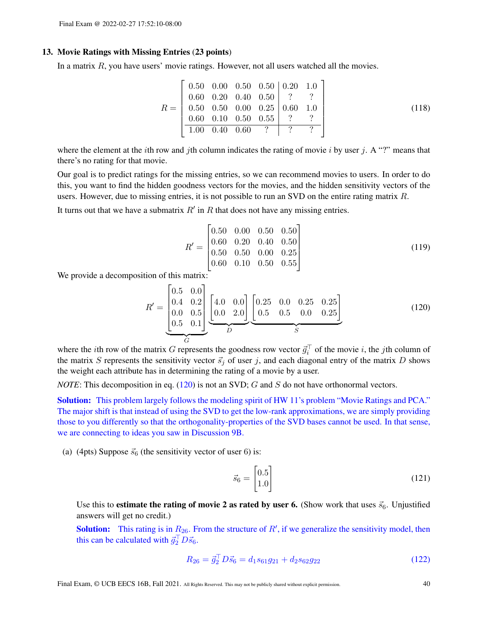#### 13. Movie Ratings with Missing Entries (23 points)

In a matrix  $R$ , you have users' movie ratings. However, not all users watched all the movies.

$$
R = \begin{bmatrix} 0.50 & 0.00 & 0.50 & 0.50 & 0.20 & 1.0 \\ 0.60 & 0.20 & 0.40 & 0.50 & ? & ? \\ 0.50 & 0.50 & 0.00 & 0.25 & 0.60 & 1.0 \\ \hline 0.60 & 0.10 & 0.50 & 0.55 & ? & ? \\ \hline 1.00 & 0.40 & 0.60 & ? & ? & ? \end{bmatrix}
$$
(118)

where the element at the *i*th row and *j*th column indicates the rating of movie *i* by user *j*. A "?" means that there's no rating for that movie.

Our goal is to predict ratings for the missing entries, so we can recommend movies to users. In order to do this, you want to find the hidden goodness vectors for the movies, and the hidden sensitivity vectors of the users. However, due to missing entries, it is not possible to run an SVD on the entire rating matrix R.

It turns out that we have a submatrix  $R'$  in  $R$  that does not have any missing entries.

<span id="page-39-0"></span>
$$
R' = \begin{bmatrix} 0.50 & 0.00 & 0.50 & 0.50 \\ 0.60 & 0.20 & 0.40 & 0.50 \\ 0.50 & 0.50 & 0.00 & 0.25 \\ 0.60 & 0.10 & 0.50 & 0.55 \end{bmatrix}
$$
(119)

We provide a decomposition of this matrix:

$$
R' = \underbrace{\begin{bmatrix} 0.5 & 0.0 \\ 0.4 & 0.2 \\ 0.0 & 0.5 \\ 0.5 & 0.1 \end{bmatrix}}_{C} \underbrace{\begin{bmatrix} 4.0 & 0.0 \\ 0.0 & 2.0 \end{bmatrix}}_{D} \underbrace{\begin{bmatrix} 0.25 & 0.0 & 0.25 & 0.25 \\ 0.5 & 0.5 & 0.0 & 0.25 \\ 0.5 & 0.5 & 0.0 & 0.25 \end{bmatrix}}_{S}
$$
(120)

where the *i*th row of the matrix G represents the goodness row vector  $\vec{g}_i^{\top}$  of the movie *i*, the *j*th column of the matrix S represents the sensitivity vector  $\vec{s}_i$  of user j, and each diagonal entry of the matrix D shows the weight each attribute has in determining the rating of a movie by a user.

*NOTE*: This decomposition in eq. [\(120\)](#page-39-0) is not an SVD; G and S do not have orthonormal vectors.

Solution: This problem largely follows the modeling spirit of HW 11's problem "Movie Ratings and PCA." The major shift is that instead of using the SVD to get the low-rank approximations, we are simply providing those to you differently so that the orthogonality-properties of the SVD bases cannot be used. In that sense, we are connecting to ideas you saw in Discussion 9B.

(a) (4pts) Suppose  $\vec{s}_6$  (the sensitivity vector of user 6) is:

$$
\vec{s}_6 = \begin{bmatrix} 0.5\\1.0 \end{bmatrix} \tag{121}
$$

Use this to **estimate the rating of movie 2 as rated by user 6.** (Show work that uses  $\vec{s}_6$ . Unjustified answers will get no credit.)

**Solution:** This rating is in  $R_{26}$ . From the structure of  $R'$ , if we generalize the sensitivity model, then this can be calculated with  $\vec{g}_2^{\top} D \vec{s}_6$ .

$$
R_{26} = \vec{g}_2^{\top} D \vec{s}_6 = d_1 s_{61} g_{21} + d_2 s_{62} g_{22} \tag{122}
$$

Final Exam, © UCB EECS 16B, Fall 2021. All Rights Reserved. This may not be publicly shared without explicit permission. 40 40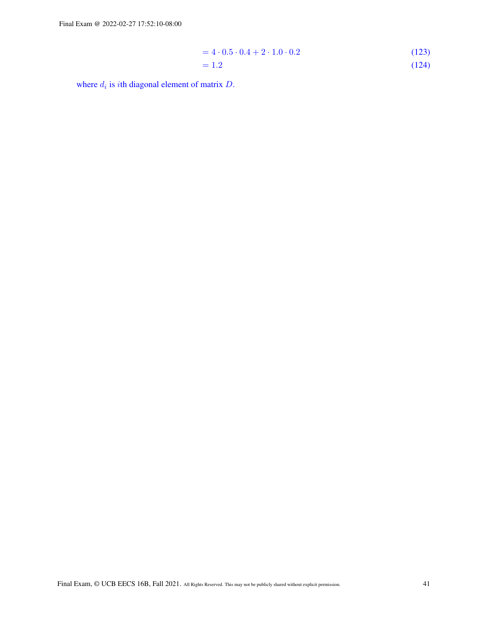$$
= 4 \cdot 0.5 \cdot 0.4 + 2 \cdot 1.0 \cdot 0.2
$$
\n
$$
= 1.2
$$
\n(123)\n(124)

where  $d_i$  is *i*th diagonal element of matrix  $D$ .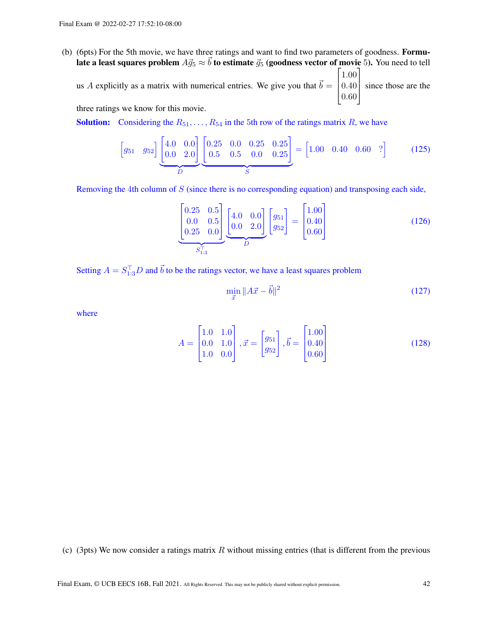- (b) (6pts) For the 5th movie, we have three ratings and want to find two parameters of goodness. Formulate a least squares problem  $A\vec{g}_5 \approx \vec{b}$  to estimate  $\vec{g}_5$  (goodness vector of movie 5). You need to tell  $\lceil 1.00 \rceil$ 
	- us A explicitly as a matrix with numerical entries. We give you that  $\vec{b} = \begin{bmatrix} 0.40 \\ 0.60 \end{bmatrix}$  $|0.60$ since those are the

three ratings we know for this movie.

**Solution:** Considering the  $R_{51}, \ldots, R_{54}$  in the 5th row of the ratings matrix R, we have

$$
\begin{bmatrix} g_{51} & g_{52} \end{bmatrix} \underbrace{\begin{bmatrix} 4.0 & 0.0 \\ 0.0 & 2.0 \end{bmatrix}}_{D} \underbrace{\begin{bmatrix} 0.25 & 0.0 & 0.25 & 0.25 \\ 0.5 & 0.5 & 0.0 & 0.25 \end{bmatrix}}_{S} = \begin{bmatrix} 1.00 & 0.40 & 0.60 & ? \end{bmatrix}
$$
 (125)

Removing the 4th column of  $S$  (since there is no corresponding equation) and transposing each side,

$$
\underbrace{\begin{bmatrix} 0.25 & 0.5\\ 0.0 & 0.5\\ 0.25 & 0.0 \end{bmatrix}}_{S_{1:3}^{\top}} \underbrace{\begin{bmatrix} 4.0 & 0.0\\ 0.0 & 2.0 \end{bmatrix}}_{D} \begin{bmatrix} g_{51} \\ g_{52} \end{bmatrix} = \begin{bmatrix} 1.00\\ 0.40\\ 0.60 \end{bmatrix}
$$
(126)

Setting  $A = S_{1:3}^{\top}D$  and  $\vec{b}$  to be the ratings vector, we have a least squares problem

$$
\min_{\vec{x}} \|A\vec{x} - \vec{b}\|^2 \tag{127}
$$

where

$$
A = \begin{bmatrix} 1.0 & 1.0 \\ 0.0 & 1.0 \\ 1.0 & 0.0 \end{bmatrix}, \vec{x} = \begin{bmatrix} g_{51} \\ g_{52} \end{bmatrix}, \vec{b} = \begin{bmatrix} 1.00 \\ 0.40 \\ 0.60 \end{bmatrix}
$$
(128)

(c) (3pts) We now consider a ratings matrix  $R$  without missing entries (that is different from the previous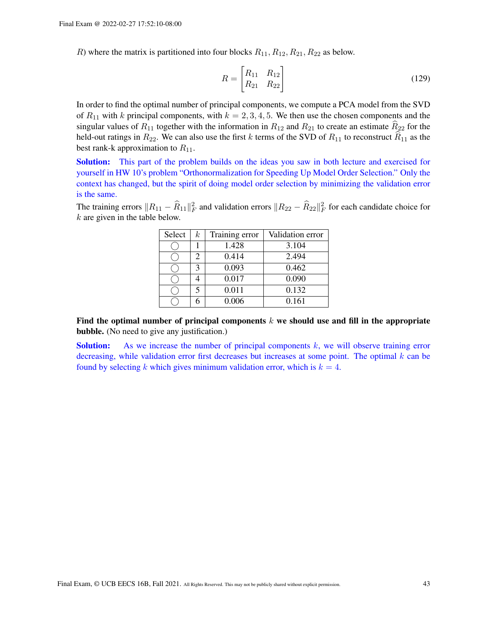R) where the matrix is partitioned into four blocks  $R_{11}, R_{12}, R_{21}, R_{22}$  as below.

$$
R = \begin{bmatrix} R_{11} & R_{12} \\ R_{21} & R_{22} \end{bmatrix}
$$
 (129)

In order to find the optimal number of principal components, we compute a PCA model from the SVD of  $R_{11}$  with k principal components, with  $k = 2, 3, 4, 5$ . We then use the chosen components and the singular values of  $R_{11}$  together with the information in  $R_{12}$  and  $R_{21}$  to create an estimate  $R_{22}$  for the held-out ratings in  $R_{22}$ . We can also use the first k terms of the SVD of  $R_{11}$  to reconstruct  $\widehat{R}_{11}$  as the best rank-k approximation to  $R_{11}$ .

Solution: This part of the problem builds on the ideas you saw in both lecture and exercised for yourself in HW 10's problem "Orthonormalization for Speeding Up Model Order Selection." Only the context has changed, but the spirit of doing model order selection by minimizing the validation error is the same.

The training errors  $||R_{11} - \widehat{R}_{11}||_F^2$  and validation errors  $||R_{22} - \widehat{R}_{22}||_F^2$  for each candidate choice for  $k$  are given in the table below.

| Select | $k_{\mathcal{C}}$ | Training error | Validation error |
|--------|-------------------|----------------|------------------|
|        |                   | 1.428          | 3.104            |
|        |                   | 0.414          | 2.494            |
|        |                   | 0.093          | 0.462            |
|        |                   | 0.017          | 0.090            |
|        |                   | 0.011          | 0.132            |
|        |                   | 0.006          | 0.161            |

Find the optimal number of principal components  $k$  we should use and fill in the appropriate bubble. (No need to give any justification.)

**Solution:** As we increase the number of principal components k, we will observe training error decreasing, while validation error first decreases but increases at some point. The optimal  $k$  can be found by selecting k which gives minimum validation error, which is  $k = 4$ .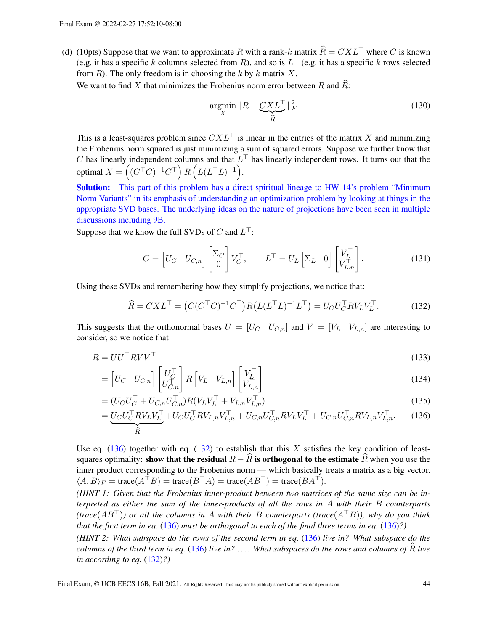(d) (10pts) Suppose that we want to approximate R with a rank-k matrix  $\hat{R} = C X L^{\top}$  where C is known (e.g. it has a specific k columns selected from R), and so is  $L^{\top}$  (e.g. it has a specific k rows selected from  $R$ ). The only freedom is in choosing the k by k matrix  $X$ .

We want to find X that minimizes the Frobenius norm error between R and  $\overline{R}$ :

$$
\underset{X}{\operatorname{argmin}} \|R - \underbrace{CXL^{\top}}_{\widehat{R}}\|_{F}^{2}
$$
\n(130)

This is a least-squares problem since  $CXL^{\top}$  is linear in the entries of the matrix X and minimizing the Frobenius norm squared is just minimizing a sum of squared errors. Suppose we further know that C has linearly independent columns and that  $L^{\top}$  has linearly independent rows. It turns out that the optimal  $X = \left( (C^\top C)^{-1} C^\top \right) R \left( L (L^\top L)^{-1} \right)$ .

Solution: This part of this problem has a direct spiritual lineage to HW 14's problem "Minimum" Norm Variants" in its emphasis of understanding an optimization problem by looking at things in the appropriate SVD bases. The underlying ideas on the nature of projections have been seen in multiple discussions including 9B.

Suppose that we know the full SVDs of C and  $L^{\top}$ :

<span id="page-43-1"></span>
$$
C = \begin{bmatrix} U_C & U_{C,n} \end{bmatrix} \begin{bmatrix} \Sigma_C \\ 0 \end{bmatrix} V_C^{\top}, \qquad L^{\top} = U_L \begin{bmatrix} \Sigma_L & 0 \end{bmatrix} \begin{bmatrix} V_L^{\top} \\ V_{L,n}^{\top} \end{bmatrix}.
$$
 (131)

Using these SVDs and remembering how they simplify projections, we notice that:

<span id="page-43-0"></span>
$$
\widehat{R} = CXL^{\top} = \left(C(C^{\top}C)^{-1}C^{\top}\right)R\left(L(L^{\top}L)^{-1}L^{\top}\right) = U_CU_C^{\top}RV_LV_L^{\top}.
$$
\n(132)

This suggests that the orthonormal bases  $U = [U_C \ U_{C,n}]$  and  $V = [V_L \ V_{L,n}]$  are interesting to consider, so we notice that

$$
R = U U^{\top} R V V^{\top}
$$
\n<sup>(133)</sup>

$$
= \begin{bmatrix} U_C & U_{C,n} \end{bmatrix} \begin{bmatrix} U_C^\top \\ U_{C,n}^\top \end{bmatrix} R \begin{bmatrix} V_L & V_{L,n} \end{bmatrix} \begin{bmatrix} V_L^\top \\ V_{L,n}^\top \end{bmatrix}
$$
(134)

$$
= (U_C U_C^{\top} + U_{C,n} U_{C,n}^{\top}) R (V_L V_L^{\top} + V_{L,n} V_{L,n}^{\top})
$$
\n(135)

$$
= \underbrace{U_C U_C^\top R V_L V_L^\top}_{\widehat{R}} + U_C U_C^\top R V_{L,n} V_{L,n}^\top + U_{C,n} U_{C,n}^\top R V_L V_L^\top + U_{C,n} U_{C,n}^\top R V_{L,n} V_{L,n}^\top. \tag{136}
$$

Use eq. [\(136\)](#page-43-0) together with eq. [\(132\)](#page-43-1) to establish that this X satisfies the key condition of leastsquares optimality: show that the residual  $R - \overline{R}$  is orthogonal to the estimate  $\overline{R}$  when you use the inner product corresponding to the Frobenius norm — which basically treats a matrix as a big vector.  $\langle A, B \rangle_F = \text{trace}(A^{\top}B) = \text{trace}(B^{\top}A) = \text{trace}(AB^{\top}) = \text{trace}(BA^{\top}).$ 

*(HINT 1: Given that the Frobenius inner-product between two matrices of the same size can be interpreted as either the sum of the inner-products of all the rows in* A *with their* B *counterparts (trace*(AB⊤)*) or all the columns in* A *with their* B *counterparts (trace*(A⊤B)*), why do you think that the first term in eq.* [\(136\)](#page-43-0) *must be orthogonal to each of the final three terms in eq.* [\(136\)](#page-43-0)*?)*

*(HINT 2: What subspace do the rows of the second term in eq.* [\(136\)](#page-43-0) *live in? What subspace do the columns of the third term in eq.* [\(136\)](#page-43-0) *live in?* .... What subspaces do the rows and columns of R live *in according to eq.* [\(132\)](#page-43-1)*?)*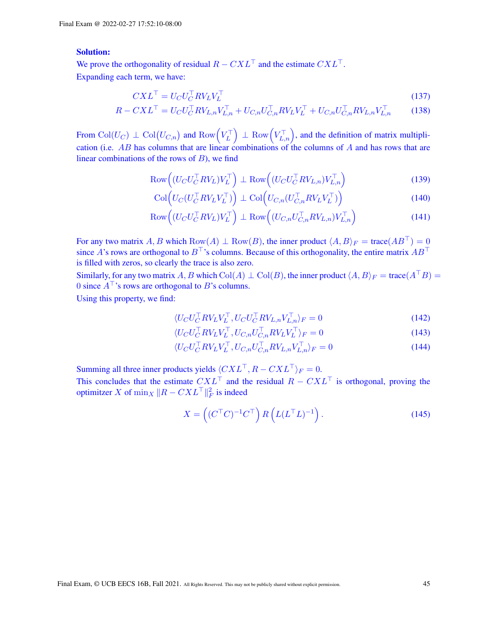# Solution:

We prove the orthogonality of residual  $R - CXL^{\top}$  and the estimate  $CXL^{\top}$ . Expanding each term, we have:

$$
CXL^{\top} = U_C U_C^{\top} R V_L V_L^{\top}
$$
\n<sup>(137)</sup>

$$
R - CXL^{\top} = U_CU_C^{\top}RV_{L,n}V_{L,n}^{\top} + U_{C,n}U_{C,n}^{\top}RV_LV_L^{\top} + U_{C,n}U_{C,n}^{\top}RV_{L,n}V_{L,n}^{\top}
$$
(138)

From  $\text{Col}(U_C) \perp \text{Col}(U_{C,n})$  and  $\text{Row}(V_L^{\top}) \perp \text{Row}(V_{L,n}^{\top})$ , and the definition of matrix multiplication (i.e. AB has columns that are linear combinations of the columns of A and has rows that are linear combinations of the rows of  $B$ ), we find

$$
\text{Row}\Big((U_C U_C^\top R V_L) V_L^\top\Big) \perp \text{Row}\Big((U_C U_C^\top R V_{L,n}) V_{L,n}^\top\Big) \tag{139}
$$

$$
\operatorname{Col}\Big(U_C(U_C^\top R V_L V_L^\top)\Big) \perp \operatorname{Col}\Big(U_{C,n}(U_{C,n}^\top R V_L V_L^\top)\Big) \tag{140}
$$

$$
\text{Row}\Big((U_C U_C^\top R V_L) V_L^\top\Big) \perp \text{Row}\Big((U_{C,n} U_{C,n}^\top R V_{L,n}) V_{L,n}^\top\Big) \tag{141}
$$

For any two matrix A, B which Row(A)  $\perp$  Row(B), the inner product  $\langle A, B \rangle_F = \text{trace}(AB^{\top}) = 0$ since A's rows are orthogonal to  $B^{\top}$ 's columns. Because of this orthogonality, the entire matrix  $AB^{\top}$ is filled with zeros, so clearly the trace is also zero.

Similarly, for any two matrix A, B which Col(A)  $\perp$  Col(B), the inner product  $\langle A, B \rangle_F = \text{trace}(A^{\top}B)$ 0 since  $A^{\top}$ 's rows are orthogonal to B's columns.

Using this property, we find:

$$
\langle U_C U_C^\top R V_L V_L^\top, U_C U_C^\top R V_{L,n} V_{L,n}^\top \rangle_F = 0 \tag{142}
$$

$$
\langle U_C U_C^\top R V_L V_L^\top, U_{C,n} U_{C,n}^\top R V_L V_L^\top \rangle_F = 0 \tag{143}
$$

$$
\langle U_C U_C^\top R V_L V_L^\top, U_{C,n} U_{C,n}^\top R V_{L,n} V_{L,n}^\top \rangle_F = 0 \tag{144}
$$

Summing all three inner products yields  $\langle C X L^{\top}, R - C X L^{\top} \rangle_F = 0$ .

This concludes that the estimate  $CXL^{\top}$  and the residual  $R - CXL^{\top}$  is orthogonal, proving the optimitzer X of  $\min_X \|R - CXL^\top\|_F^2$  is indeed

$$
X = \left( (C^{\top} C)^{-1} C^{\top} \right) R \left( L (L^{\top} L)^{-1} \right). \tag{145}
$$